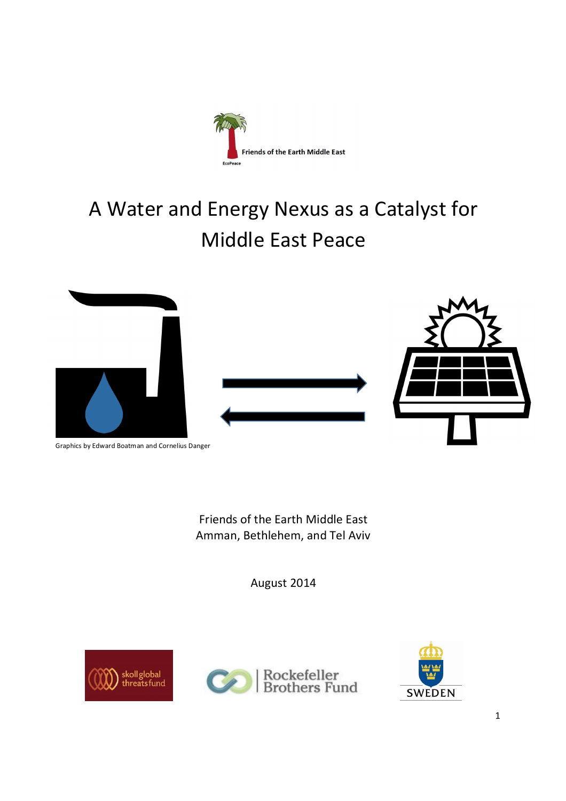

# A Water and Energy Nexus as a Catalyst for Middle East Peace



Graphics by Edward Boatman and Cornelius Danger

Friends of the Earth Middle East Amman, Bethlehem, and Tel Aviv

August 2014





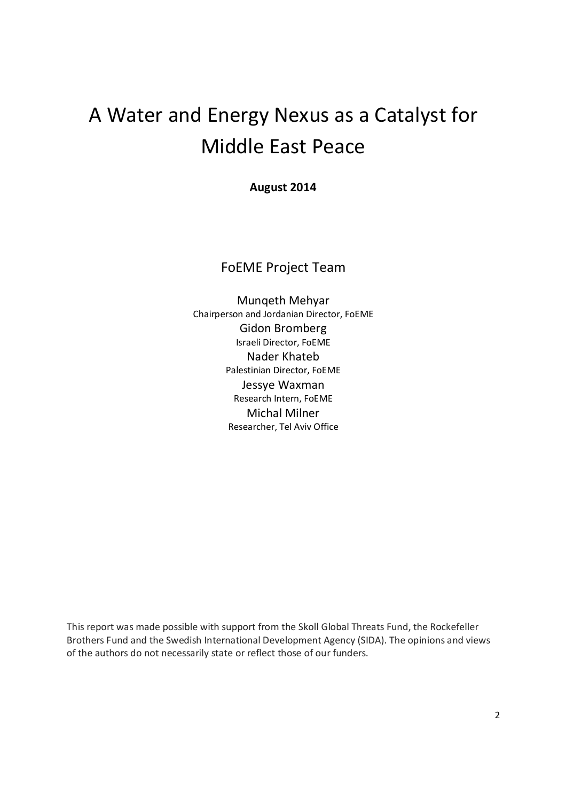## A Water and Energy Nexus as a Catalyst for Middle East Peace

**August 2014**

FoEME Project Team

Munqeth Mehyar Chairperson and Jordanian Director, FoEME Gidon Bromberg Israeli Director, FoEME Nader Khateb Palestinian Director, FoEME Jessye Waxman Research Intern, FoEME Michal Milner Researcher, Tel Aviv Office

This report was made possible with support from the Skoll Global Threats Fund, the Rockefeller Brothers Fund and the Swedish International Development Agency (SIDA). The opinions and views of the authors do not necessarily state or reflect those of our funders.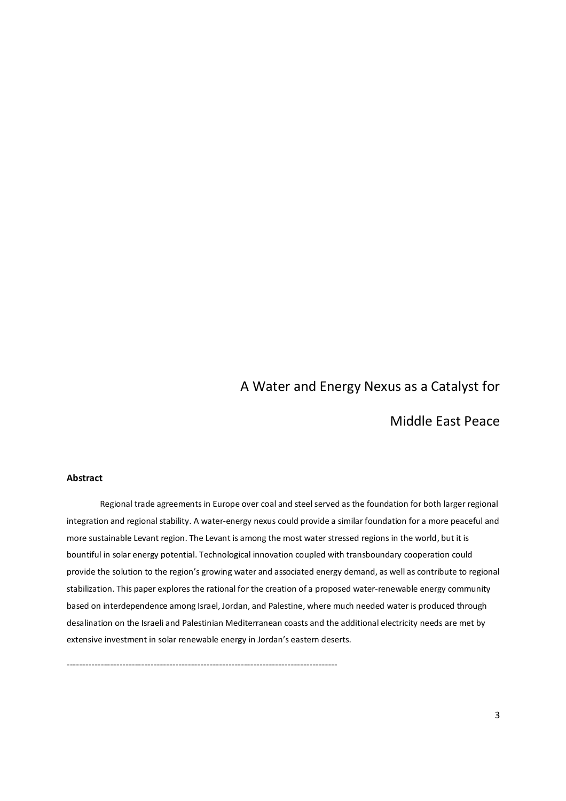### A Water and Energy Nexus as a Catalyst for

Middle East Peace

#### **Abstract**

Regional trade agreements in Europe over coal and steel served as the foundation for both larger regional integration and regional stability. A water-energy nexus could provide a similar foundation for a more peaceful and more sustainable Levant region. The Levant is among the most water stressed regions in the world, but it is bountiful in solar energy potential. Technological innovation coupled with transboundary cooperation could provide the solution to the region's growing water and associated energy demand, as well as contribute to regional stabilization. This paper explores the rational for the creation of a proposed water-renewable energy community based on interdependence among Israel, Jordan, and Palestine, where much needed water is produced through desalination on the Israeli and Palestinian Mediterranean coasts and the additional electricity needs are met by extensive investment in solar renewable energy in Jordan's eastern deserts.

---------------------------------------------------------------------------------------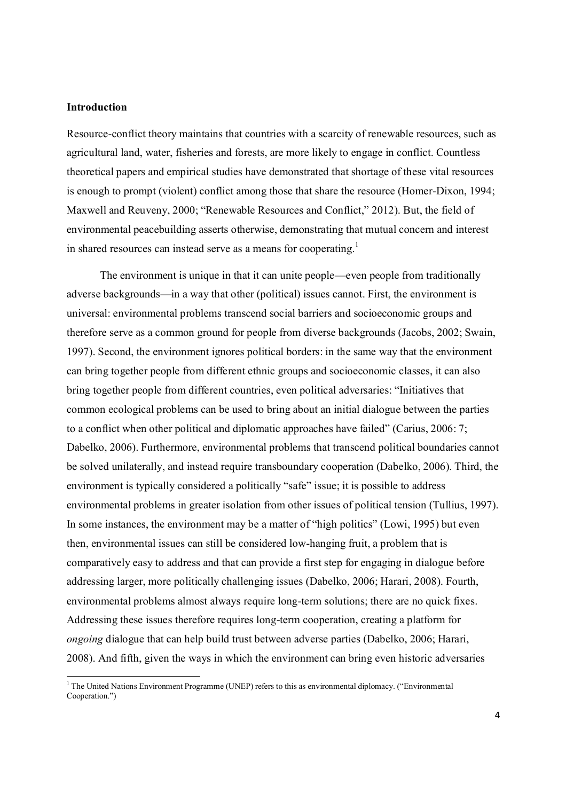#### **Introduction**

-

Resource-conflict theory maintains that countries with a scarcity of renewable resources, such as agricultural land, water, fisheries and forests, are more likely to engage in conflict. Countless theoretical papers and empirical studies have demonstrated that shortage of these vital resources is enough to prompt (violent) conflict among those that share the resource (Homer-Dixon, 1994; Maxwell and Reuveny, 2000; "Renewable Resources and Conflict," 2012). But, the field of environmental peacebuilding asserts otherwise, demonstrating that mutual concern and interest in shared resources can instead serve as a means for cooperating.<sup>1</sup>

The environment is unique in that it can unite people—even people from traditionally adverse backgrounds—in a way that other (political) issues cannot. First, the environment is universal: environmental problems transcend social barriers and socioeconomic groups and therefore serve as a common ground for people from diverse backgrounds (Jacobs, 2002; Swain, 1997). Second, the environment ignores political borders: in the same way that the environment can bring together people from different ethnic groups and socioeconomic classes, it can also bring together people from different countries, even political adversaries: "Initiatives that common ecological problems can be used to bring about an initial dialogue between the parties to a conflict when other political and diplomatic approaches have failed" (Carius, 2006: 7; Dabelko, 2006). Furthermore, environmental problems that transcend political boundaries cannot be solved unilaterally, and instead require transboundary cooperation (Dabelko, 2006). Third, the environment is typically considered a politically "safe" issue; it is possible to address environmental problems in greater isolation from other issues of political tension (Tullius, 1997). In some instances, the environment may be a matter of "high politics" (Lowi, 1995) but even then, environmental issues can still be considered low-hanging fruit, a problem that is comparatively easy to address and that can provide a first step for engaging in dialogue before addressing larger, more politically challenging issues (Dabelko, 2006; Harari, 2008). Fourth, environmental problems almost always require long-term solutions; there are no quick fixes. Addressing these issues therefore requires long-term cooperation, creating a platform for *ongoing* dialogue that can help build trust between adverse parties (Dabelko, 2006; Harari, 2008). And fifth, given the ways in which the environment can bring even historic adversaries

 $1$  The United Nations Environment Programme (UNEP) refers to this as environmental diplomacy. ("Environmental" Cooperation.")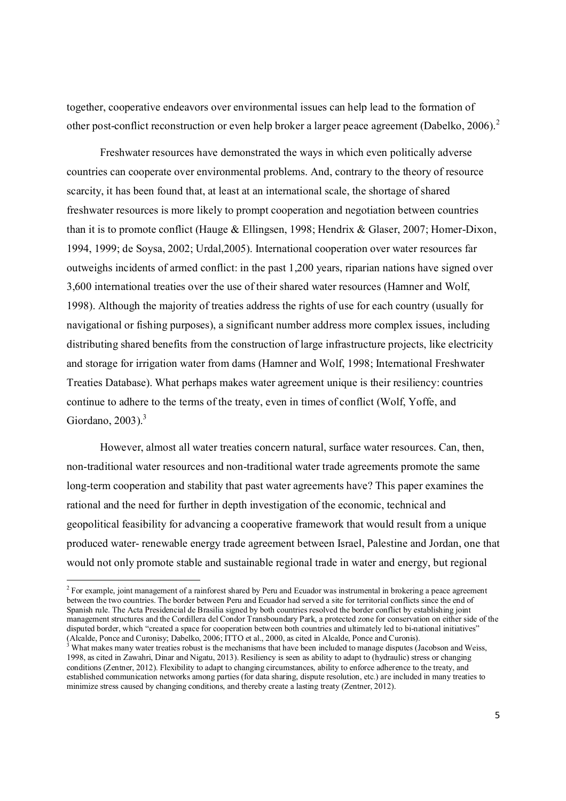together, cooperative endeavors over environmental issues can help lead to the formation of other post-conflict reconstruction or even help broker a larger peace agreement (Dabelko, 2006).<sup>2</sup>

Freshwater resources have demonstrated the ways in which even politically adverse countries can cooperate over environmental problems. And, contrary to the theory of resource scarcity, it has been found that, at least at an international scale, the shortage of shared freshwater resources is more likely to prompt cooperation and negotiation between countries than it is to promote conflict (Hauge & Ellingsen, 1998; Hendrix & Glaser, 2007; Homer-Dixon, 1994, 1999; de Soysa, 2002; Urdal,2005). International cooperation over water resources far outweighs incidents of armed conflict: in the past 1,200 years, riparian nations have signed over 3,600 international treaties over the use of their shared water resources (Hamner and Wolf, 1998). Although the majority of treaties address the rights of use for each country (usually for navigational or fishing purposes), a significant number address more complex issues, including distributing shared benefits from the construction of large infrastructure projects, like electricity and storage for irrigation water from dams (Hamner and Wolf, 1998; International Freshwater Treaties Database). What perhaps makes water agreement unique is their resiliency: countries continue to adhere to the terms of the treaty, even in times of conflict (Wolf, Yoffe, and Giordano, 2003). $3$ 

However, almost all water treaties concern natural, surface water resources. Can, then, non-traditional water resources and non-traditional water trade agreements promote the same long-term cooperation and stability that past water agreements have? This paper examines the rational and the need for further in depth investigation of the economic, technical and geopolitical feasibility for advancing a cooperative framework that would result from a unique produced water- renewable energy trade agreement between Israel, Palestine and Jordan, one that would not only promote stable and sustainable regional trade in water and energy, but regional

-

<sup>&</sup>lt;sup>2</sup> For example, joint management of a rainforest shared by Peru and Ecuador was instrumental in brokering a peace agreement between the two countries. The border between Peru and Ecuador had served a site for territorial conflicts since the end of Spanish rule. The Acta Presidencial de Brasilia signed by both countries resolved the border conflict by establishing joint management structures and the Cordillera del Condor Transboundary Park, a protected zone for conservation on either side of the disputed border, which "created a space for cooperation between both countries and ultimately led to bi-national initiatives" (Alcalde, Ponce and Curonisy; Dabelko, 2006; ITTO et al., 2000, as cited in Alcalde, Ponce and Curonis).

 $3$  What makes many water treaties robust is the mechanisms that have been included to manage disputes (Jacobson and Weiss, 1998, as cited in Zawahri, Dinar and Nigatu, 2013). Resiliency is seen as ability to adapt to (hydraulic) stress or changing conditions (Zentner, 2012). Flexibility to adapt to changing circumstances, ability to enforce adherence to the treaty, and established communication networks among parties (for data sharing, dispute resolution, etc.) are included in many treaties to minimize stress caused by changing conditions, and thereby create a lasting treaty (Zentner, 2012).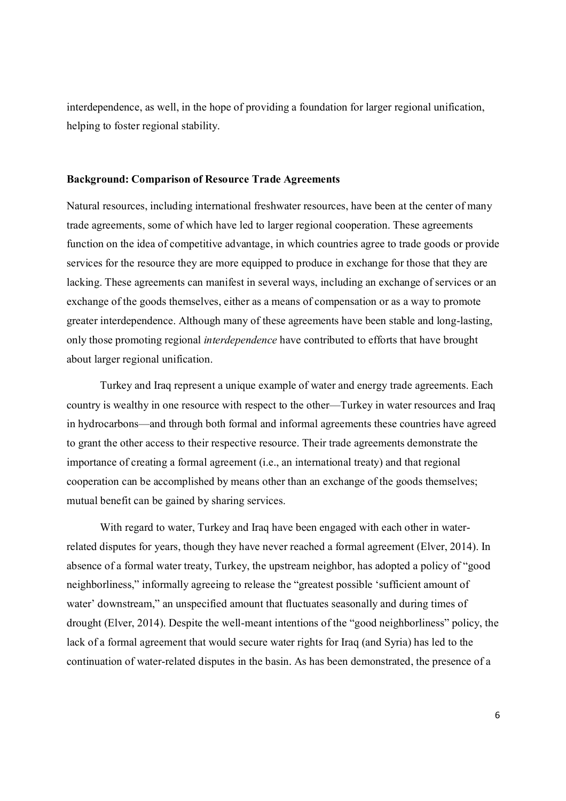interdependence, as well, in the hope of providing a foundation for larger regional unification, helping to foster regional stability.

#### **Background: Comparison of Resource Trade Agreements**

Natural resources, including international freshwater resources, have been at the center of many trade agreements, some of which have led to larger regional cooperation. These agreements function on the idea of competitive advantage, in which countries agree to trade goods or provide services for the resource they are more equipped to produce in exchange for those that they are lacking. These agreements can manifest in several ways, including an exchange of services or an exchange of the goods themselves, either as a means of compensation or as a way to promote greater interdependence. Although many of these agreements have been stable and long-lasting, only those promoting regional *interdependence* have contributed to efforts that have brought about larger regional unification.

Turkey and Iraq represent a unique example of water and energy trade agreements. Each country is wealthy in one resource with respect to the other—Turkey in water resources and Iraq in hydrocarbons—and through both formal and informal agreements these countries have agreed to grant the other access to their respective resource. Their trade agreements demonstrate the importance of creating a formal agreement (i.e., an international treaty) and that regional cooperation can be accomplished by means other than an exchange of the goods themselves; mutual benefit can be gained by sharing services.

With regard to water, Turkey and Iraq have been engaged with each other in waterrelated disputes for years, though they have never reached a formal agreement (Elver, 2014). In absence of a formal water treaty, Turkey, the upstream neighbor, has adopted a policy of "good neighborliness," informally agreeing to release the "greatest possible 'sufficient amount of water' downstream," an unspecified amount that fluctuates seasonally and during times of drought (Elver, 2014). Despite the well-meant intentions of the "good neighborliness" policy, the lack of a formal agreement that would secure water rights for Iraq (and Syria) has led to the continuation of water-related disputes in the basin. As has been demonstrated, the presence of a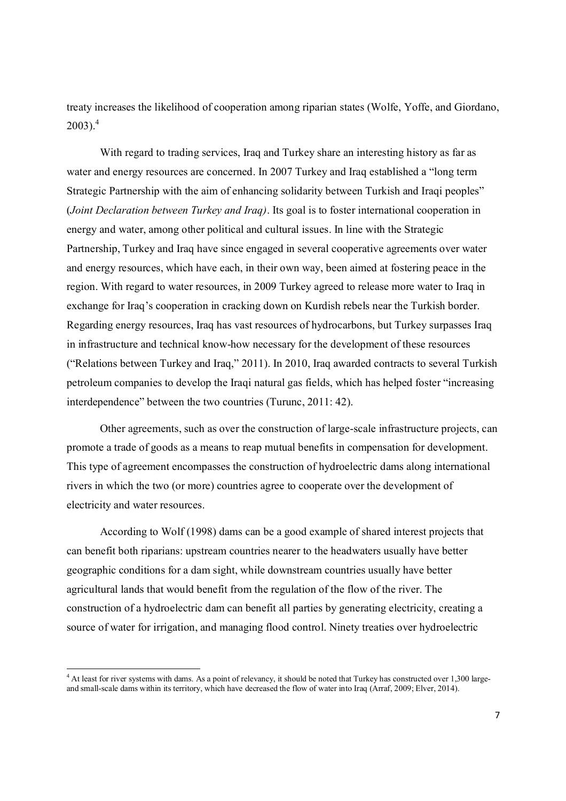treaty increases the likelihood of cooperation among riparian states (Wolfe, Yoffe, and Giordano,  $2003$ )<sup>4</sup>

With regard to trading services, Iraq and Turkey share an interesting history as far as water and energy resources are concerned. In 2007 Turkey and Iraq established a "long term Strategic Partnership with the aim of enhancing solidarity between Turkish and Iraqi peoples" (*Joint Declaration between Turkey and Iraq)*. Its goal is to foster international cooperation in energy and water, among other political and cultural issues. In line with the Strategic Partnership, Turkey and Iraq have since engaged in several cooperative agreements over water and energy resources, which have each, in their own way, been aimed at fostering peace in the region. With regard to water resources, in 2009 Turkey agreed to release more water to Iraq in exchange for Iraq's cooperation in cracking down on Kurdish rebels near the Turkish border. Regarding energy resources, Iraq has vast resources of hydrocarbons, but Turkey surpasses Iraq in infrastructure and technical know-how necessary for the development of these resources ("Relations between Turkey and Iraq," 2011). In 2010, Iraq awarded contracts to several Turkish petroleum companies to develop the Iraqi natural gas fields, which has helped foster "increasing interdependence" between the two countries (Turunc, 2011: 42).

Other agreements, such as over the construction of large-scale infrastructure projects, can promote a trade of goods as a means to reap mutual benefits in compensation for development. This type of agreement encompasses the construction of hydroelectric dams along international rivers in which the two (or more) countries agree to cooperate over the development of electricity and water resources.

According to Wolf (1998) dams can be a good example of shared interest projects that can benefit both riparians: upstream countries nearer to the headwaters usually have better geographic conditions for a dam sight, while downstream countries usually have better agricultural lands that would benefit from the regulation of the flow of the river. The construction of a hydroelectric dam can benefit all parties by generating electricity, creating a source of water for irrigation, and managing flood control. Ninety treaties over hydroelectric

-

<sup>&</sup>lt;sup>4</sup> At least for river systems with dams. As a point of relevancy, it should be noted that Turkey has constructed over 1,300 largeand small-scale dams within its territory, which have decreased the flow of water into Iraq (Arraf, 2009; Elver, 2014).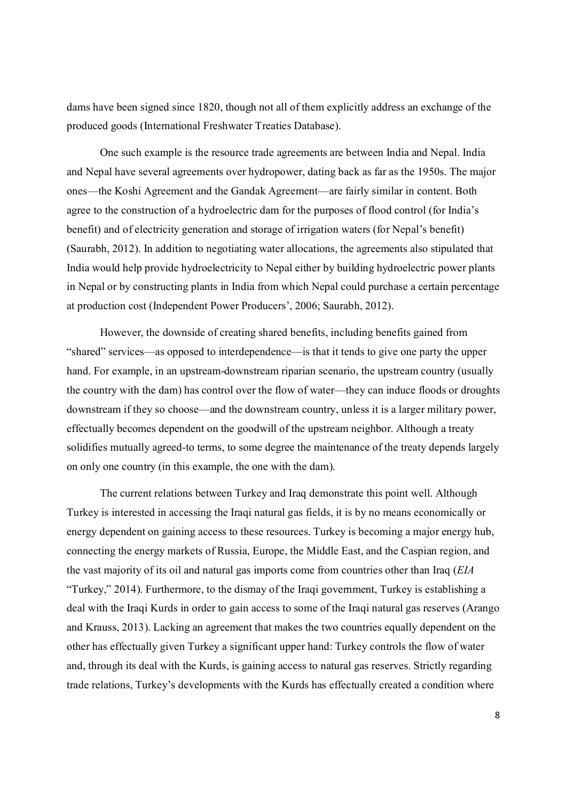dams have been signed since 1820, though not all of them explicitly address an exchange of the produced goods (International Freshwater Treaties Database).

One such example is the resource trade agreements are between India and Nepal. India and Nepal have several agreements over hydropower, dating back as far as the 1950s. The major ones—the Koshi Agreement and the Gandak Agreement—are fairly similar in content. Both agree to the construction of a hydroelectric dam for the purposes of flood control (for India's benefit) and of electricity generation and storage of irrigation waters (for Nepal's benefit) (Saurabh, 2012). In addition to negotiating water allocations, the agreements also stipulated that India would help provide hydroelectricity to Nepal either by building hydroelectric power plants in Nepal or by constructing plants in India from which Nepal could purchase a certain percentage at production cost (Independent Power Producers', 2006; Saurabh, 2012).

However, the downside of creating shared benefits, including benefits gained from "shared" services—as opposed to interdependence—is that it tends to give one party the upper hand. For example, in an upstream-downstream riparian scenario, the upstream country (usually the country with the dam) has control over the flow of water—they can induce floods or droughts downstream if they so choose—and the downstream country, unless it is a larger military power, effectually becomes dependent on the goodwill of the upstream neighbor. Although a treaty solidifies mutually agreed-to terms, to some degree the maintenance of the treaty depends largely on only one country (in this example, the one with the dam).

The current relations between Turkey and Iraq demonstrate this point well. Although Turkey is interested in accessing the Iraqi natural gas fields, it is by no means economically or energy dependent on gaining access to these resources. Turkey is becoming a major energy hub, connecting the energy markets of Russia, Europe, the Middle East, and the Caspian region, and the vast majority of its oil and natural gas imports come from countries other than Iraq (*EIA* "Turkey," 2014). Furthermore, to the dismay of the Iraqi government, Turkey is establishing a deal with the Iraqi Kurds in order to gain access to some of the Iraqi natural gas reserves (Arango and Krauss, 2013). Lacking an agreement that makes the two countries equally dependent on the other has effectually given Turkey a significant upper hand: Turkey controls the flow of water and, through its deal with the Kurds, is gaining access to natural gas reserves. Strictly regarding trade relations, Turkey's developments with the Kurds has effectually created a condition where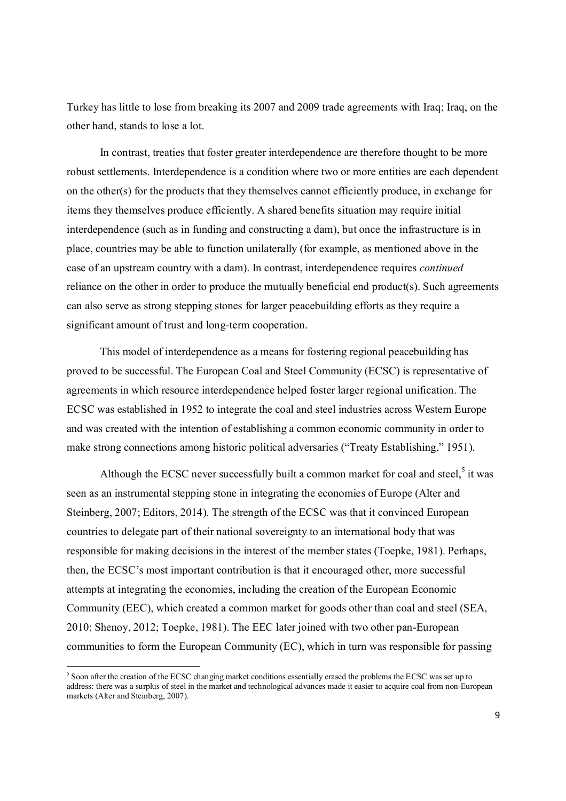Turkey has little to lose from breaking its 2007 and 2009 trade agreements with Iraq; Iraq, on the other hand, stands to lose a lot.

In contrast, treaties that foster greater interdependence are therefore thought to be more robust settlements. Interdependence is a condition where two or more entities are each dependent on the other(s) for the products that they themselves cannot efficiently produce, in exchange for items they themselves produce efficiently. A shared benefits situation may require initial interdependence (such as in funding and constructing a dam), but once the infrastructure is in place, countries may be able to function unilaterally (for example, as mentioned above in the case of an upstream country with a dam). In contrast, interdependence requires *continued* reliance on the other in order to produce the mutually beneficial end product(s). Such agreements can also serve as strong stepping stones for larger peacebuilding efforts as they require a significant amount of trust and long-term cooperation.

This model of interdependence as a means for fostering regional peacebuilding has proved to be successful. The European Coal and Steel Community (ECSC) is representative of agreements in which resource interdependence helped foster larger regional unification. The ECSC was established in 1952 to integrate the coal and steel industries across Western Europe and was created with the intention of establishing a common economic community in order to make strong connections among historic political adversaries ("Treaty Establishing," 1951).

Although the ECSC never successfully built a common market for coal and steel, $5$  it was seen as an instrumental stepping stone in integrating the economies of Europe (Alter and Steinberg, 2007; Editors, 2014). The strength of the ECSC was that it convinced European countries to delegate part of their national sovereignty to an international body that was responsible for making decisions in the interest of the member states (Toepke, 1981). Perhaps, then, the ECSC's most important contribution is that it encouraged other, more successful attempts at integrating the economies, including the creation of the European Economic Community (EEC), which created a common market for goods other than coal and steel (SEA, 2010; Shenoy, 2012; Toepke, 1981). The EEC later joined with two other pan-European communities to form the European Community (EC), which in turn was responsible for passing

-

<sup>&</sup>lt;sup>5</sup> Soon after the creation of the ECSC changing market conditions essentially erased the problems the ECSC was set up to address: there was a surplus of steel in the market and technological advances made it easier to acquire coal from non-European markets (Alter and Steinberg, 2007).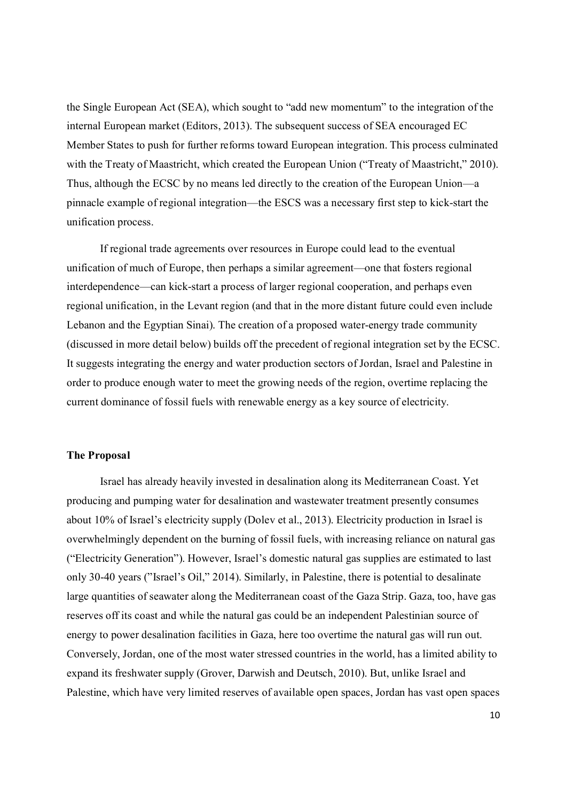the Single European Act (SEA), which sought to "add new momentum" to the integration of the internal European market (Editors, 2013). The subsequent success of SEA encouraged EC Member States to push for further reforms toward European integration. This process culminated with the Treaty of Maastricht, which created the European Union ("Treaty of Maastricht," 2010). Thus, although the ECSC by no means led directly to the creation of the European Union—a pinnacle example of regional integration—the ESCS was a necessary first step to kick-start the unification process.

If regional trade agreements over resources in Europe could lead to the eventual unification of much of Europe, then perhaps a similar agreement—one that fosters regional interdependence—can kick-start a process of larger regional cooperation, and perhaps even regional unification, in the Levant region (and that in the more distant future could even include Lebanon and the Egyptian Sinai). The creation of a proposed water-energy trade community (discussed in more detail below) builds off the precedent of regional integration set by the ECSC. It suggests integrating the energy and water production sectors of Jordan, Israel and Palestine in order to produce enough water to meet the growing needs of the region, overtime replacing the current dominance of fossil fuels with renewable energy as a key source of electricity.

#### **The Proposal**

Israel has already heavily invested in desalination along its Mediterranean Coast. Yet producing and pumping water for desalination and wastewater treatment presently consumes about 10% of Israel's electricity supply (Dolev et al., 2013). Electricity production in Israel is overwhelmingly dependent on the burning of fossil fuels, with increasing reliance on natural gas ("Electricity Generation"). However, Israel's domestic natural gas supplies are estimated to last only 30-40 years ("Israel's Oil," 2014). Similarly, in Palestine, there is potential to desalinate large quantities of seawater along the Mediterranean coast of the Gaza Strip. Gaza, too, have gas reserves off its coast and while the natural gas could be an independent Palestinian source of energy to power desalination facilities in Gaza, here too overtime the natural gas will run out. Conversely, Jordan, one of the most water stressed countries in the world, has a limited ability to expand its freshwater supply (Grover, Darwish and Deutsch, 2010). But, unlike Israel and Palestine, which have very limited reserves of available open spaces, Jordan has vast open spaces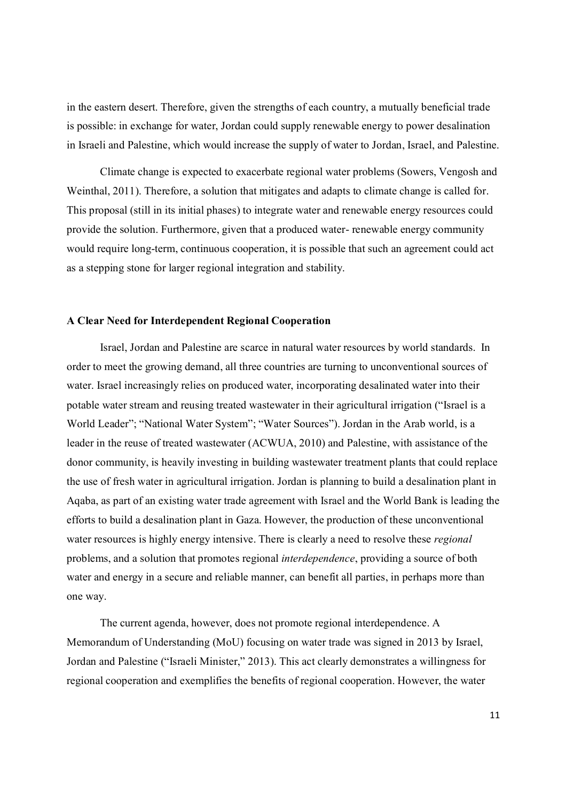in the eastern desert. Therefore, given the strengths of each country, a mutually beneficial trade is possible: in exchange for water, Jordan could supply renewable energy to power desalination in Israeli and Palestine, which would increase the supply of water to Jordan, Israel, and Palestine.

Climate change is expected to exacerbate regional water problems (Sowers, Vengosh and Weinthal, 2011). Therefore, a solution that mitigates and adapts to climate change is called for. This proposal (still in its initial phases) to integrate water and renewable energy resources could provide the solution. Furthermore, given that a produced water- renewable energy community would require long-term, continuous cooperation, it is possible that such an agreement could act as a stepping stone for larger regional integration and stability.

#### **A Clear Need for Interdependent Regional Cooperation**

Israel, Jordan and Palestine are scarce in natural water resources by world standards. In order to meet the growing demand, all three countries are turning to unconventional sources of water. Israel increasingly relies on produced water, incorporating desalinated water into their potable water stream and reusing treated wastewater in their agricultural irrigation ("Israel is a World Leader"; "National Water System"; "Water Sources"). Jordan in the Arab world, is a leader in the reuse of treated wastewater (ACWUA, 2010) and Palestine, with assistance of the donor community, is heavily investing in building wastewater treatment plants that could replace the use of fresh water in agricultural irrigation. Jordan is planning to build a desalination plant in Aqaba, as part of an existing water trade agreement with Israel and the World Bank is leading the efforts to build a desalination plant in Gaza. However, the production of these unconventional water resources is highly energy intensive. There is clearly a need to resolve these *regional*  problems, and a solution that promotes regional *interdependence*, providing a source of both water and energy in a secure and reliable manner, can benefit all parties, in perhaps more than one way.

The current agenda, however, does not promote regional interdependence. A Memorandum of Understanding (MoU) focusing on water trade was signed in 2013 by Israel, Jordan and Palestine ("Israeli Minister," 2013). This act clearly demonstrates a willingness for regional cooperation and exemplifies the benefits of regional cooperation. However, the water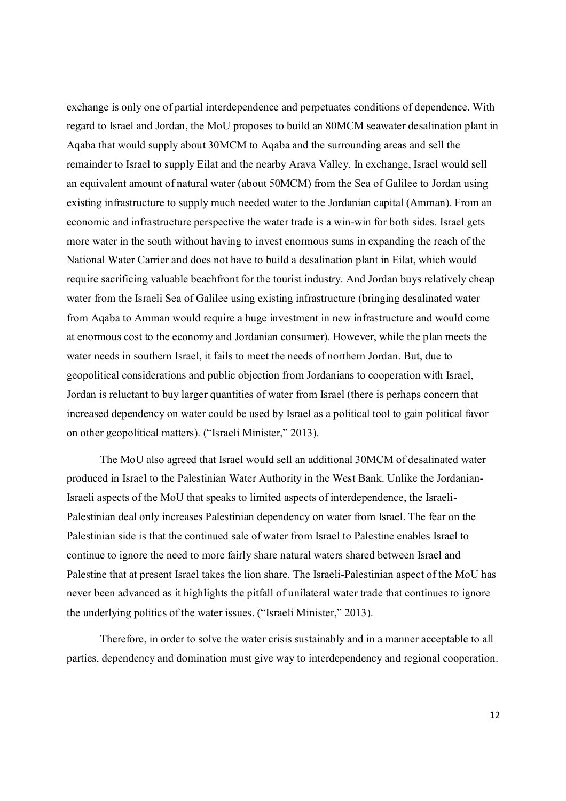exchange is only one of partial interdependence and perpetuates conditions of dependence. With regard to Israel and Jordan, the MoU proposes to build an 80MCM seawater desalination plant in Aqaba that would supply about 30MCM to Aqaba and the surrounding areas and sell the remainder to Israel to supply Eilat and the nearby Arava Valley. In exchange, Israel would sell an equivalent amount of natural water (about 50MCM) from the Sea of Galilee to Jordan using existing infrastructure to supply much needed water to the Jordanian capital (Amman). From an economic and infrastructure perspective the water trade is a win-win for both sides. Israel gets more water in the south without having to invest enormous sums in expanding the reach of the National Water Carrier and does not have to build a desalination plant in Eilat, which would require sacrificing valuable beachfront for the tourist industry. And Jordan buys relatively cheap water from the Israeli Sea of Galilee using existing infrastructure (bringing desalinated water from Aqaba to Amman would require a huge investment in new infrastructure and would come at enormous cost to the economy and Jordanian consumer). However, while the plan meets the water needs in southern Israel, it fails to meet the needs of northern Jordan. But, due to geopolitical considerations and public objection from Jordanians to cooperation with Israel, Jordan is reluctant to buy larger quantities of water from Israel (there is perhaps concern that increased dependency on water could be used by Israel as a political tool to gain political favor on other geopolitical matters). ("Israeli Minister," 2013).

The MoU also agreed that Israel would sell an additional 30MCM of desalinated water produced in Israel to the Palestinian Water Authority in the West Bank. Unlike the Jordanian-Israeli aspects of the MoU that speaks to limited aspects of interdependence, the Israeli-Palestinian deal only increases Palestinian dependency on water from Israel. The fear on the Palestinian side is that the continued sale of water from Israel to Palestine enables Israel to continue to ignore the need to more fairly share natural waters shared between Israel and Palestine that at present Israel takes the lion share. The Israeli-Palestinian aspect of the MoU has never been advanced as it highlights the pitfall of unilateral water trade that continues to ignore the underlying politics of the water issues. ("Israeli Minister," 2013).

Therefore, in order to solve the water crisis sustainably and in a manner acceptable to all parties, dependency and domination must give way to interdependency and regional cooperation.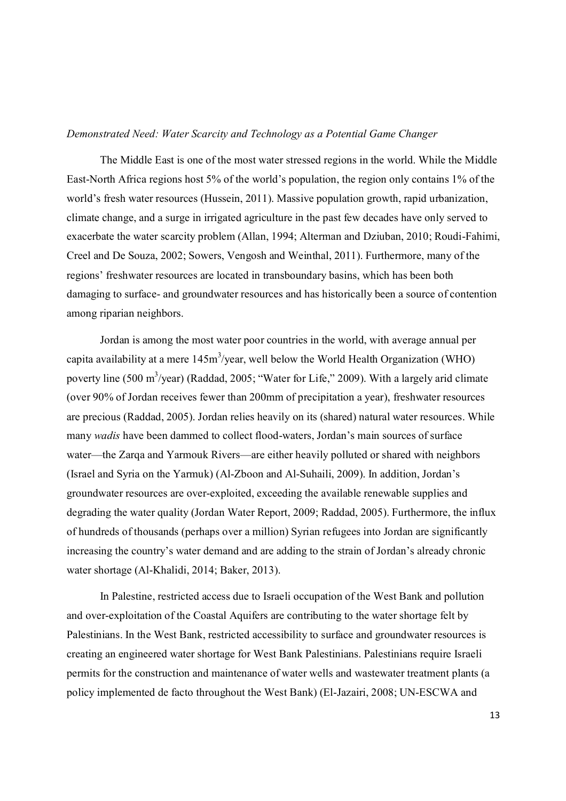#### *Demonstrated Need: Water Scarcity and Technology as a Potential Game Changer*

The Middle East is one of the most water stressed regions in the world. While the Middle East-North Africa regions host 5% of the world's population, the region only contains 1% of the world's fresh water resources (Hussein, 2011). Massive population growth, rapid urbanization, climate change, and a surge in irrigated agriculture in the past few decades have only served to exacerbate the water scarcity problem (Allan, 1994; Alterman and Dziuban, 2010; Roudi-Fahimi, Creel and De Souza, 2002; Sowers, Vengosh and Weinthal, 2011). Furthermore, many of the regions' freshwater resources are located in transboundary basins, which has been both damaging to surface- and groundwater resources and has historically been a source of contention among riparian neighbors.

Jordan is among the most water poor countries in the world, with average annual per capita availability at a mere  $145 \text{m}^3/\text{year}$ , well below the World Health Organization (WHO) poverty line (500 m<sup>3</sup>/year) (Raddad, 2005; "Water for Life," 2009). With a largely arid climate (over 90% of Jordan receives fewer than 200mm of precipitation a year), freshwater resources are precious (Raddad, 2005). Jordan relies heavily on its (shared) natural water resources. While many *wadis* have been dammed to collect flood-waters, Jordan's main sources of surface water—the Zarqa and Yarmouk Rivers—are either heavily polluted or shared with neighbors (Israel and Syria on the Yarmuk) (Al-Zboon and Al-Suhaili, 2009). In addition, Jordan's groundwater resources are over-exploited, exceeding the available renewable supplies and degrading the water quality (Jordan Water Report, 2009; Raddad, 2005). Furthermore, the influx of hundreds of thousands (perhaps over a million) Syrian refugees into Jordan are significantly increasing the country's water demand and are adding to the strain of Jordan's already chronic water shortage (Al-Khalidi, 2014; Baker, 2013).

In Palestine, restricted access due to Israeli occupation of the West Bank and pollution and over-exploitation of the Coastal Aquifers are contributing to the water shortage felt by Palestinians. In the West Bank, restricted accessibility to surface and groundwater resources is creating an engineered water shortage for West Bank Palestinians. Palestinians require Israeli permits for the construction and maintenance of water wells and wastewater treatment plants (a policy implemented de facto throughout the West Bank) (El-Jazairi, 2008; UN-ESCWA and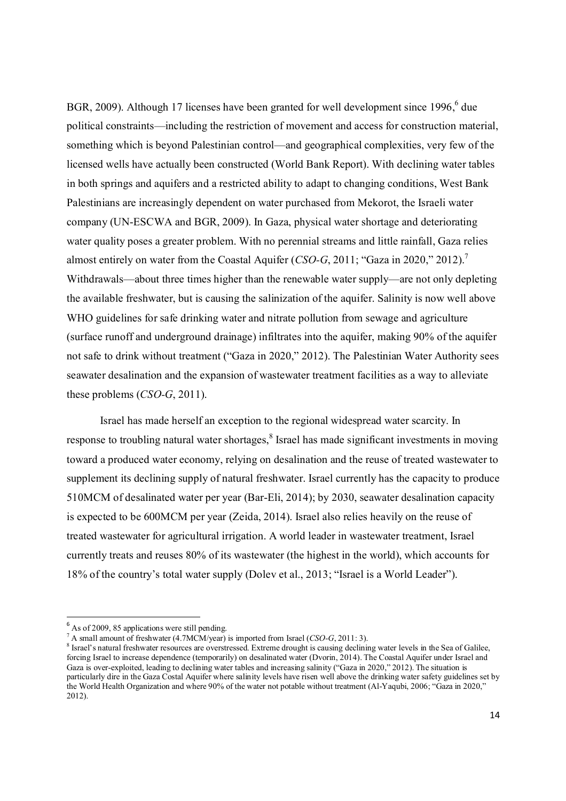BGR, 2009). Although 17 licenses have been granted for well development since 1996, $6$  due political constraints—including the restriction of movement and access for construction material, something which is beyond Palestinian control—and geographical complexities, very few of the licensed wells have actually been constructed (World Bank Report). With declining water tables in both springs and aquifers and a restricted ability to adapt to changing conditions, West Bank Palestinians are increasingly dependent on water purchased from Mekorot, the Israeli water company (UN-ESCWA and BGR, 2009). In Gaza, physical water shortage and deteriorating water quality poses a greater problem. With no perennial streams and little rainfall, Gaza relies almost entirely on water from the Coastal Aquifer (*CSO-G*, 2011; "Gaza in 2020," 2012).<sup>7</sup> Withdrawals—about three times higher than the renewable water supply—are not only depleting the available freshwater, but is causing the salinization of the aquifer. Salinity is now well above WHO guidelines for safe drinking water and nitrate pollution from sewage and agriculture (surface runoff and underground drainage) infiltrates into the aquifer, making 90% of the aquifer not safe to drink without treatment ("Gaza in 2020," 2012). The Palestinian Water Authority sees seawater desalination and the expansion of wastewater treatment facilities as a way to alleviate these problems (*CSO-G*, 2011).

Israel has made herself an exception to the regional widespread water scarcity. In response to troubling natural water shortages,<sup>8</sup> Israel has made significant investments in moving toward a produced water economy, relying on desalination and the reuse of treated wastewater to supplement its declining supply of natural freshwater. Israel currently has the capacity to produce 510MCM of desalinated water per year (Bar-Eli, 2014); by 2030, seawater desalination capacity is expected to be 600MCM per year (Zeida, 2014). Israel also relies heavily on the reuse of treated wastewater for agricultural irrigation. A world leader in wastewater treatment, Israel currently treats and reuses 80% of its wastewater (the highest in the world), which accounts for 18% of the country's total water supply (Dolev et al., 2013; "Israel is a World Leader").

**.** 

 $<sup>6</sup>$  As of 2009, 85 applications were still pending.</sup>

<sup>7</sup> A small amount of freshwater (4.7MCM/year) is imported from Israel (*CSO-G*, 2011: 3).

<sup>&</sup>lt;sup>8</sup> Israel's natural freshwater resources are overstressed. Extreme drought is causing declining water levels in the Sea of Galilee, forcing Israel to increase dependence (temporarily) on desalinated water (Dvorin, 2014). The Coastal Aquifer under Israel and Gaza is over-exploited, leading to declining water tables and increasing salinity ("Gaza in 2020," 2012). The situation is particularly dire in the Gaza Costal Aquifer where salinity levels have risen well above the drinking water safety guidelines set by the World Health Organization and where 90% of the water not potable without treatment (Al-Yaqubi, 2006; "Gaza in 2020," 2012).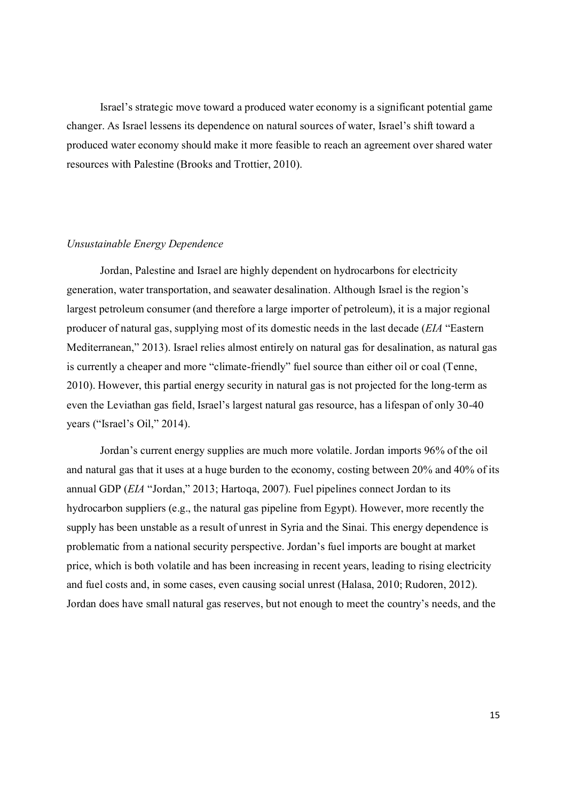Israel's strategic move toward a produced water economy is a significant potential game changer. As Israel lessens its dependence on natural sources of water, Israel's shift toward a produced water economy should make it more feasible to reach an agreement over shared water resources with Palestine (Brooks and Trottier, 2010).

#### *Unsustainable Energy Dependence*

Jordan, Palestine and Israel are highly dependent on hydrocarbons for electricity generation, water transportation, and seawater desalination. Although Israel is the region's largest petroleum consumer (and therefore a large importer of petroleum), it is a major regional producer of natural gas, supplying most of its domestic needs in the last decade (*EIA* "Eastern Mediterranean," 2013). Israel relies almost entirely on natural gas for desalination, as natural gas is currently a cheaper and more "climate-friendly" fuel source than either oil or coal (Tenne, 2010). However, this partial energy security in natural gas is not projected for the long-term as even the Leviathan gas field, Israel's largest natural gas resource, has a lifespan of only 30-40 years ("Israel's Oil," 2014).

Jordan's current energy supplies are much more volatile. Jordan imports 96% of the oil and natural gas that it uses at a huge burden to the economy, costing between 20% and 40% of its annual GDP (*EIA* "Jordan," 2013; Hartoqa, 2007). Fuel pipelines connect Jordan to its hydrocarbon suppliers (e.g., the natural gas pipeline from Egypt). However, more recently the supply has been unstable as a result of unrest in Syria and the Sinai. This energy dependence is problematic from a national security perspective. Jordan's fuel imports are bought at market price, which is both volatile and has been increasing in recent years, leading to rising electricity and fuel costs and, in some cases, even causing social unrest (Halasa, 2010; Rudoren, 2012). Jordan does have small natural gas reserves, but not enough to meet the country's needs, and the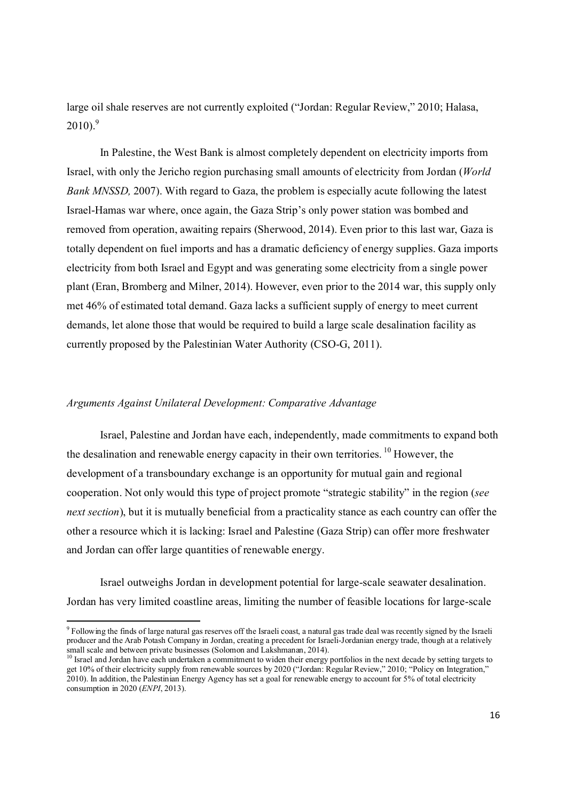large oil shale reserves are not currently exploited ("Jordan: Regular Review," 2010; Halasa,  $2010$ .<sup>9</sup>

In Palestine, the West Bank is almost completely dependent on electricity imports from Israel, with only the Jericho region purchasing small amounts of electricity from Jordan (*World Bank MNSSD, 2007*). With regard to Gaza, the problem is especially acute following the latest Israel-Hamas war where, once again, the Gaza Strip's only power station was bombed and removed from operation, awaiting repairs (Sherwood, 2014). Even prior to this last war, Gaza is totally dependent on fuel imports and has a dramatic deficiency of energy supplies. Gaza imports electricity from both Israel and Egypt and was generating some electricity from a single power plant (Eran, Bromberg and Milner, 2014). However, even prior to the 2014 war, this supply only met 46% of estimated total demand. Gaza lacks a sufficient supply of energy to meet current demands, let alone those that would be required to build a large scale desalination facility as currently proposed by the Palestinian Water Authority (CSO-G, 2011).

#### *Arguments Against Unilateral Development: Comparative Advantage*

**.** 

Israel, Palestine and Jordan have each, independently, made commitments to expand both the desalination and renewable energy capacity in their own territories.<sup>10</sup> However, the development of a transboundary exchange is an opportunity for mutual gain and regional cooperation. Not only would this type of project promote "strategic stability" in the region (*see next section*), but it is mutually beneficial from a practicality stance as each country can offer the other a resource which it is lacking: Israel and Palestine (Gaza Strip) can offer more freshwater and Jordan can offer large quantities of renewable energy.

Israel outweighs Jordan in development potential for large-scale seawater desalination. Jordan has very limited coastline areas, limiting the number of feasible locations for large-scale

<sup>&</sup>lt;sup>9</sup> Following the finds of large natural gas reserves off the Israeli coast, a natural gas trade deal was recently signed by the Israeli producer and the Arab Potash Company in Jordan, creating a precedent for Israeli-Jordanian energy trade, though at a relatively small scale and between private businesses (Solomon and Lakshmanan, 2014).

<sup>&</sup>lt;sup>10</sup> Israel and Jordan have each undertaken a commitment to widen their energy portfolios in the next decade by setting targets to get 10% of their electricity supply from renewable sources by 2020 ("Jordan: Regular Review," 2010; "Policy on Integration," 2010). In addition, the Palestinian Energy Agency has set a goal for renewable energy to account for 5% of total electricity consumption in 2020 (*ENPI*, 2013).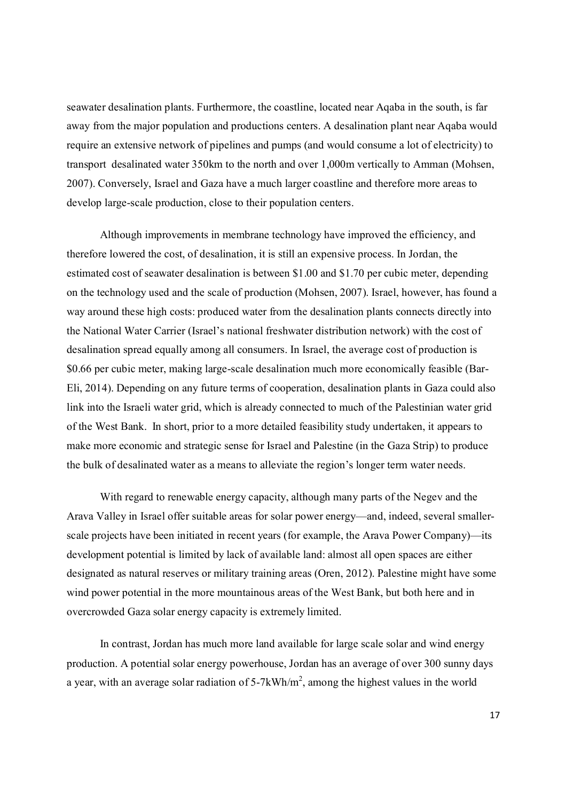seawater desalination plants. Furthermore, the coastline, located near Aqaba in the south, is far away from the major population and productions centers. A desalination plant near Aqaba would require an extensive network of pipelines and pumps (and would consume a lot of electricity) to transport desalinated water 350km to the north and over 1,000m vertically to Amman (Mohsen, 2007). Conversely, Israel and Gaza have a much larger coastline and therefore more areas to develop large-scale production, close to their population centers.

Although improvements in membrane technology have improved the efficiency, and therefore lowered the cost, of desalination, it is still an expensive process. In Jordan, the estimated cost of seawater desalination is between \$1.00 and \$1.70 per cubic meter, depending on the technology used and the scale of production (Mohsen, 2007). Israel, however, has found a way around these high costs: produced water from the desalination plants connects directly into the National Water Carrier (Israel's national freshwater distribution network) with the cost of desalination spread equally among all consumers. In Israel, the average cost of production is \$0.66 per cubic meter, making large-scale desalination much more economically feasible (Bar-Eli, 2014). Depending on any future terms of cooperation, desalination plants in Gaza could also link into the Israeli water grid, which is already connected to much of the Palestinian water grid of the West Bank. In short, prior to a more detailed feasibility study undertaken, it appears to make more economic and strategic sense for Israel and Palestine (in the Gaza Strip) to produce the bulk of desalinated water as a means to alleviate the region's longer term water needs.

With regard to renewable energy capacity, although many parts of the Negev and the Arava Valley in Israel offer suitable areas for solar power energy—and, indeed, several smallerscale projects have been initiated in recent years (for example, the Arava Power Company)—its development potential is limited by lack of available land: almost all open spaces are either designated as natural reserves or military training areas (Oren, 2012). Palestine might have some wind power potential in the more mountainous areas of the West Bank, but both here and in overcrowded Gaza solar energy capacity is extremely limited.

In contrast, Jordan has much more land available for large scale solar and wind energy production. A potential solar energy powerhouse, Jordan has an average of over 300 sunny days a year, with an average solar radiation of 5-7kWh/ $m^2$ , among the highest values in the world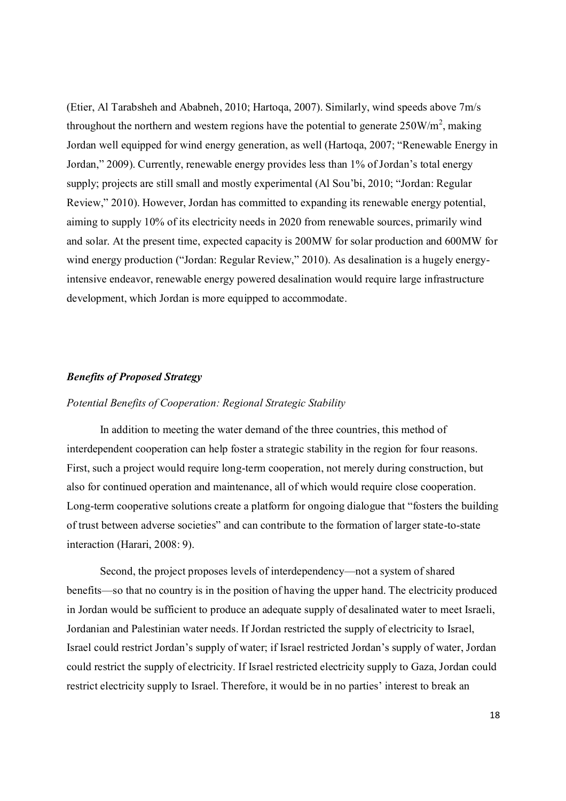(Etier, Al Tarabsheh and Ababneh, 2010; Hartoqa, 2007). Similarly, wind speeds above 7m/s throughout the northern and western regions have the potential to generate  $250W/m^2$ , making Jordan well equipped for wind energy generation, as well (Hartoqa, 2007; "Renewable Energy in Jordan," 2009). Currently, renewable energy provides less than 1% of Jordan's total energy supply; projects are still small and mostly experimental (Al Sou'bi, 2010; "Jordan: Regular Review," 2010). However, Jordan has committed to expanding its renewable energy potential, aiming to supply 10% of its electricity needs in 2020 from renewable sources, primarily wind and solar. At the present time, expected capacity is 200MW for solar production and 600MW for wind energy production ("Jordan: Regular Review," 2010). As desalination is a hugely energyintensive endeavor, renewable energy powered desalination would require large infrastructure development, which Jordan is more equipped to accommodate.

#### *Benefits of Proposed Strategy*

#### *Potential Benefits of Cooperation: Regional Strategic Stability*

In addition to meeting the water demand of the three countries, this method of interdependent cooperation can help foster a strategic stability in the region for four reasons. First, such a project would require long-term cooperation, not merely during construction, but also for continued operation and maintenance, all of which would require close cooperation. Long-term cooperative solutions create a platform for ongoing dialogue that "fosters the building of trust between adverse societies" and can contribute to the formation of larger state-to-state interaction (Harari, 2008: 9).

Second, the project proposes levels of interdependency—not a system of shared benefits—so that no country is in the position of having the upper hand. The electricity produced in Jordan would be sufficient to produce an adequate supply of desalinated water to meet Israeli, Jordanian and Palestinian water needs. If Jordan restricted the supply of electricity to Israel, Israel could restrict Jordan's supply of water; if Israel restricted Jordan's supply of water, Jordan could restrict the supply of electricity. If Israel restricted electricity supply to Gaza, Jordan could restrict electricity supply to Israel. Therefore, it would be in no parties' interest to break an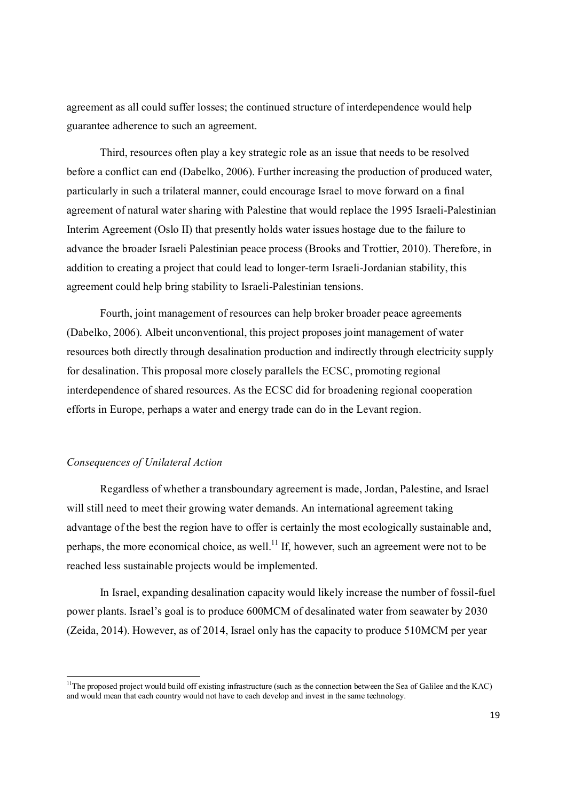agreement as all could suffer losses; the continued structure of interdependence would help guarantee adherence to such an agreement.

Third, resources often play a key strategic role as an issue that needs to be resolved before a conflict can end (Dabelko, 2006). Further increasing the production of produced water, particularly in such a trilateral manner, could encourage Israel to move forward on a final agreement of natural water sharing with Palestine that would replace the 1995 Israeli-Palestinian Interim Agreement (Oslo II) that presently holds water issues hostage due to the failure to advance the broader Israeli Palestinian peace process (Brooks and Trottier, 2010). Therefore, in addition to creating a project that could lead to longer-term Israeli-Jordanian stability, this agreement could help bring stability to Israeli-Palestinian tensions.

Fourth, joint management of resources can help broker broader peace agreements (Dabelko, 2006). Albeit unconventional, this project proposes joint management of water resources both directly through desalination production and indirectly through electricity supply for desalination. This proposal more closely parallels the ECSC, promoting regional interdependence of shared resources. As the ECSC did for broadening regional cooperation efforts in Europe, perhaps a water and energy trade can do in the Levant region.

#### *Consequences of Unilateral Action*

-

Regardless of whether a transboundary agreement is made, Jordan, Palestine, and Israel will still need to meet their growing water demands. An international agreement taking advantage of the best the region have to offer is certainly the most ecologically sustainable and, perhaps, the more economical choice, as well.<sup>11</sup> If, however, such an agreement were not to be reached less sustainable projects would be implemented.

In Israel, expanding desalination capacity would likely increase the number of fossil-fuel power plants. Israel's goal is to produce 600MCM of desalinated water from seawater by 2030 (Zeida, 2014). However, as of 2014, Israel only has the capacity to produce 510MCM per year

 $11$ The proposed project would build off existing infrastructure (such as the connection between the Sea of Galilee and the KAC) and would mean that each country would not have to each develop and invest in the same technology.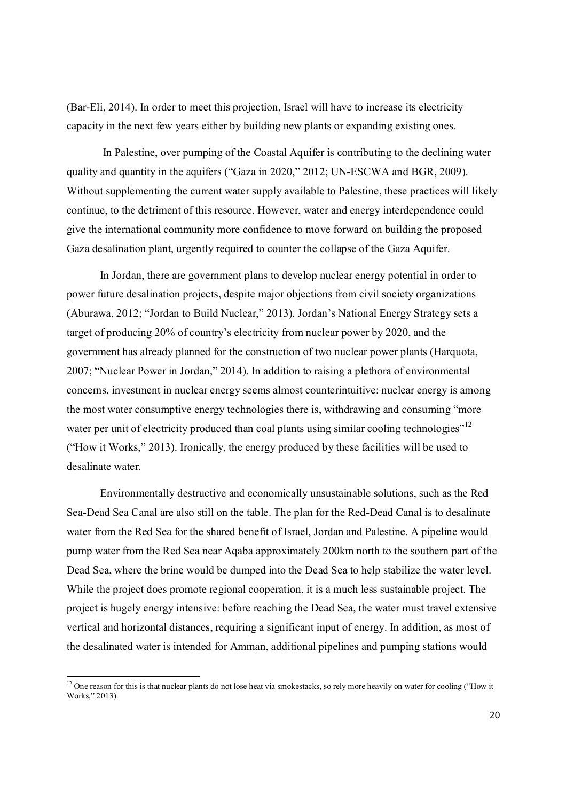(Bar-Eli, 2014). In order to meet this projection, Israel will have to increase its electricity capacity in the next few years either by building new plants or expanding existing ones.

In Palestine, over pumping of the Coastal Aquifer is contributing to the declining water quality and quantity in the aquifers ("Gaza in 2020," 2012; UN-ESCWA and BGR, 2009). Without supplementing the current water supply available to Palestine, these practices will likely continue, to the detriment of this resource. However, water and energy interdependence could give the international community more confidence to move forward on building the proposed Gaza desalination plant, urgently required to counter the collapse of the Gaza Aquifer.

In Jordan, there are government plans to develop nuclear energy potential in order to power future desalination projects, despite major objections from civil society organizations (Aburawa, 2012; "Jordan to Build Nuclear," 2013). Jordan's National Energy Strategy sets a target of producing 20% of country's electricity from nuclear power by 2020, and the government has already planned for the construction of two nuclear power plants (Harquota, 2007; "Nuclear Power in Jordan," 2014). In addition to raising a plethora of environmental concerns, investment in nuclear energy seems almost counterintuitive: nuclear energy is among the most water consumptive energy technologies there is, withdrawing and consuming "more water per unit of electricity produced than coal plants using similar cooling technologies"<sup>12</sup> ("How it Works," 2013). Ironically, the energy produced by these facilities will be used to desalinate water.

Environmentally destructive and economically unsustainable solutions, such as the Red Sea-Dead Sea Canal are also still on the table. The plan for the Red-Dead Canal is to desalinate water from the Red Sea for the shared benefit of Israel, Jordan and Palestine. A pipeline would pump water from the Red Sea near Aqaba approximately 200km north to the southern part of the Dead Sea, where the brine would be dumped into the Dead Sea to help stabilize the water level. While the project does promote regional cooperation, it is a much less sustainable project. The project is hugely energy intensive: before reaching the Dead Sea, the water must travel extensive vertical and horizontal distances, requiring a significant input of energy. In addition, as most of the desalinated water is intended for Amman, additional pipelines and pumping stations would

-

<sup>&</sup>lt;sup>12</sup> One reason for this is that nuclear plants do not lose heat via smokestacks, so rely more heavily on water for cooling ("How it Works," 2013).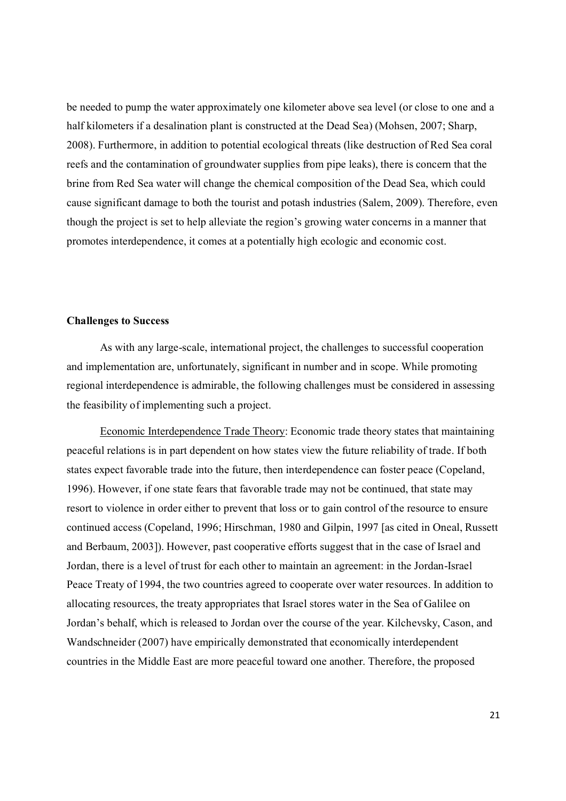be needed to pump the water approximately one kilometer above sea level (or close to one and a half kilometers if a desalination plant is constructed at the Dead Sea) (Mohsen, 2007; Sharp, 2008). Furthermore, in addition to potential ecological threats (like destruction of Red Sea coral reefs and the contamination of groundwater supplies from pipe leaks), there is concern that the brine from Red Sea water will change the chemical composition of the Dead Sea, which could cause significant damage to both the tourist and potash industries (Salem, 2009). Therefore, even though the project is set to help alleviate the region's growing water concerns in a manner that promotes interdependence, it comes at a potentially high ecologic and economic cost.

#### **Challenges to Success**

As with any large-scale, international project, the challenges to successful cooperation and implementation are, unfortunately, significant in number and in scope. While promoting regional interdependence is admirable, the following challenges must be considered in assessing the feasibility of implementing such a project.

Economic Interdependence Trade Theory: Economic trade theory states that maintaining peaceful relations is in part dependent on how states view the future reliability of trade. If both states expect favorable trade into the future, then interdependence can foster peace (Copeland, 1996). However, if one state fears that favorable trade may not be continued, that state may resort to violence in order either to prevent that loss or to gain control of the resource to ensure continued access (Copeland, 1996; Hirschman, 1980 and Gilpin, 1997 [as cited in Oneal, Russett and Berbaum, 2003]). However, past cooperative efforts suggest that in the case of Israel and Jordan, there is a level of trust for each other to maintain an agreement: in the Jordan-Israel Peace Treaty of 1994, the two countries agreed to cooperate over water resources. In addition to allocating resources, the treaty appropriates that Israel stores water in the Sea of Galilee on Jordan's behalf, which is released to Jordan over the course of the year. Kilchevsky, Cason, and Wandschneider (2007) have empirically demonstrated that economically interdependent countries in the Middle East are more peaceful toward one another. Therefore, the proposed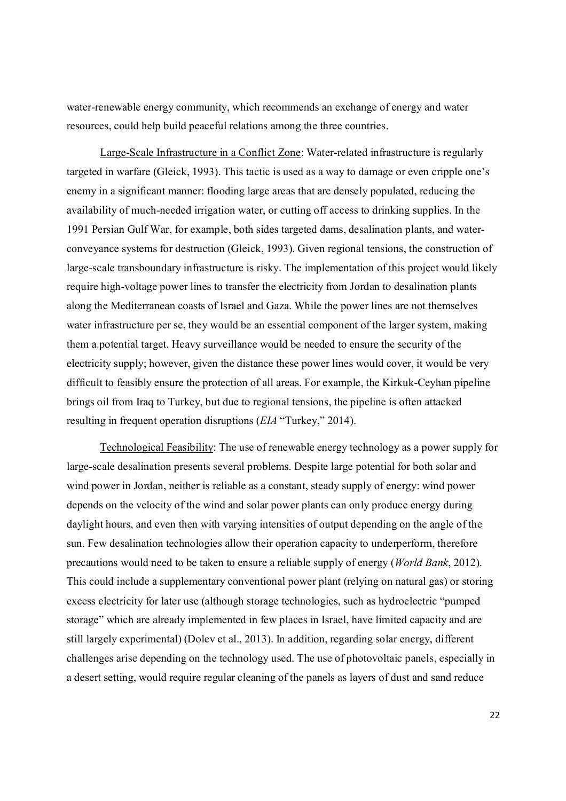water-renewable energy community, which recommends an exchange of energy and water resources, could help build peaceful relations among the three countries.

Large-Scale Infrastructure in a Conflict Zone: Water-related infrastructure is regularly targeted in warfare (Gleick, 1993). This tactic is used as a way to damage or even cripple one's enemy in a significant manner: flooding large areas that are densely populated, reducing the availability of much-needed irrigation water, or cutting off access to drinking supplies. In the 1991 Persian Gulf War, for example, both sides targeted dams, desalination plants, and waterconveyance systems for destruction (Gleick, 1993). Given regional tensions, the construction of large-scale transboundary infrastructure is risky. The implementation of this project would likely require high-voltage power lines to transfer the electricity from Jordan to desalination plants along the Mediterranean coasts of Israel and Gaza. While the power lines are not themselves water infrastructure per se, they would be an essential component of the larger system, making them a potential target. Heavy surveillance would be needed to ensure the security of the electricity supply; however, given the distance these power lines would cover, it would be very difficult to feasibly ensure the protection of all areas. For example, the Kirkuk-Ceyhan pipeline brings oil from Iraq to Turkey, but due to regional tensions, the pipeline is often attacked resulting in frequent operation disruptions (*EIA* "Turkey," 2014).

Technological Feasibility: The use of renewable energy technology as a power supply for large-scale desalination presents several problems. Despite large potential for both solar and wind power in Jordan, neither is reliable as a constant, steady supply of energy: wind power depends on the velocity of the wind and solar power plants can only produce energy during daylight hours, and even then with varying intensities of output depending on the angle of the sun. Few desalination technologies allow their operation capacity to underperform, therefore precautions would need to be taken to ensure a reliable supply of energy (*World Bank*, 2012). This could include a supplementary conventional power plant (relying on natural gas) or storing excess electricity for later use (although storage technologies, such as hydroelectric "pumped storage" which are already implemented in few places in Israel, have limited capacity and are still largely experimental) (Dolev et al., 2013). In addition, regarding solar energy, different challenges arise depending on the technology used. The use of photovoltaic panels, especially in a desert setting, would require regular cleaning of the panels as layers of dust and sand reduce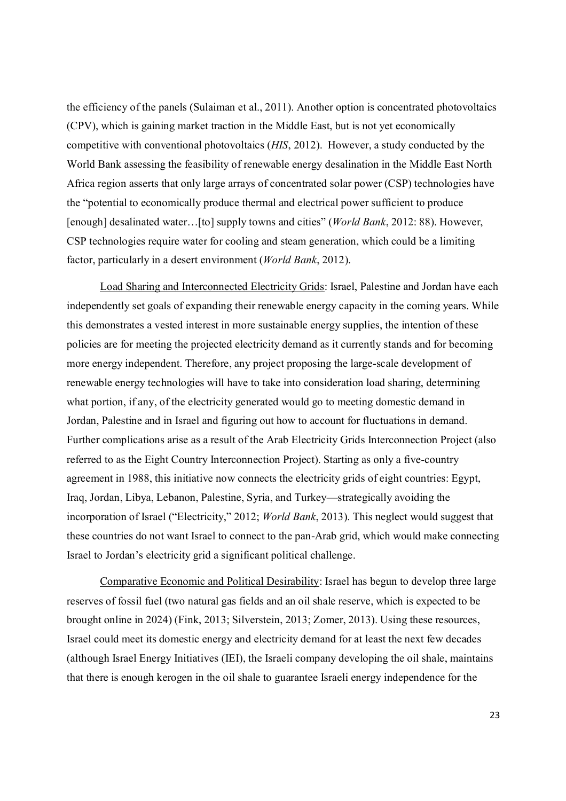the efficiency of the panels (Sulaiman et al., 2011). Another option is concentrated photovoltaics (CPV), which is gaining market traction in the Middle East, but is not yet economically competitive with conventional photovoltaics (*HIS*, 2012). However, a study conducted by the World Bank assessing the feasibility of renewable energy desalination in the Middle East North Africa region asserts that only large arrays of concentrated solar power (CSP) technologies have the "potential to economically produce thermal and electrical power sufficient to produce [enough] desalinated water…[to] supply towns and cities" (*World Bank*, 2012: 88). However, CSP technologies require water for cooling and steam generation, which could be a limiting factor, particularly in a desert environment (*World Bank*, 2012).

Load Sharing and Interconnected Electricity Grids: Israel, Palestine and Jordan have each independently set goals of expanding their renewable energy capacity in the coming years. While this demonstrates a vested interest in more sustainable energy supplies, the intention of these policies are for meeting the projected electricity demand as it currently stands and for becoming more energy independent. Therefore, any project proposing the large-scale development of renewable energy technologies will have to take into consideration load sharing, determining what portion, if any, of the electricity generated would go to meeting domestic demand in Jordan, Palestine and in Israel and figuring out how to account for fluctuations in demand. Further complications arise as a result of the Arab Electricity Grids Interconnection Project (also referred to as the Eight Country Interconnection Project). Starting as only a five-country agreement in 1988, this initiative now connects the electricity grids of eight countries: Egypt, Iraq, Jordan, Libya, Lebanon, Palestine, Syria, and Turkey—strategically avoiding the incorporation of Israel ("Electricity," 2012; *World Bank*, 2013). This neglect would suggest that these countries do not want Israel to connect to the pan-Arab grid, which would make connecting Israel to Jordan's electricity grid a significant political challenge.

Comparative Economic and Political Desirability: Israel has begun to develop three large reserves of fossil fuel (two natural gas fields and an oil shale reserve, which is expected to be brought online in 2024) (Fink, 2013; Silverstein, 2013; Zomer, 2013). Using these resources, Israel could meet its domestic energy and electricity demand for at least the next few decades (although Israel Energy Initiatives (IEI), the Israeli company developing the oil shale, maintains that there is enough kerogen in the oil shale to guarantee Israeli energy independence for the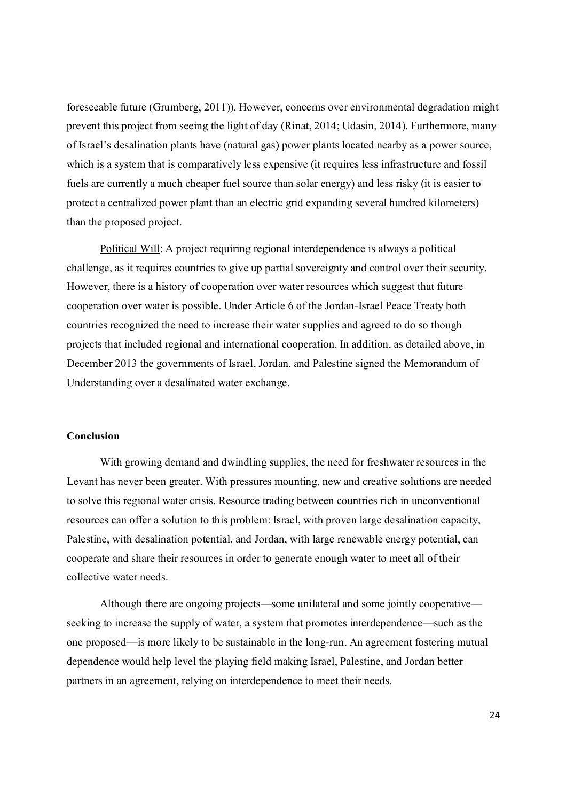foreseeable future (Grumberg, 2011)). However, concerns over environmental degradation might prevent this project from seeing the light of day (Rinat, 2014; Udasin, 2014). Furthermore, many of Israel's desalination plants have (natural gas) power plants located nearby as a power source, which is a system that is comparatively less expensive (it requires less infrastructure and fossil fuels are currently a much cheaper fuel source than solar energy) and less risky (it is easier to protect a centralized power plant than an electric grid expanding several hundred kilometers) than the proposed project.

Political Will: A project requiring regional interdependence is always a political challenge, as it requires countries to give up partial sovereignty and control over their security. However, there is a history of cooperation over water resources which suggest that future cooperation over water is possible. Under Article 6 of the Jordan-Israel Peace Treaty both countries recognized the need to increase their water supplies and agreed to do so though projects that included regional and international cooperation. In addition, as detailed above, in December 2013 the governments of Israel, Jordan, and Palestine signed the Memorandum of Understanding over a desalinated water exchange.

#### **Conclusion**

With growing demand and dwindling supplies, the need for freshwater resources in the Levant has never been greater. With pressures mounting, new and creative solutions are needed to solve this regional water crisis. Resource trading between countries rich in unconventional resources can offer a solution to this problem: Israel, with proven large desalination capacity, Palestine, with desalination potential, and Jordan, with large renewable energy potential, can cooperate and share their resources in order to generate enough water to meet all of their collective water needs.

Although there are ongoing projects—some unilateral and some jointly cooperative seeking to increase the supply of water, a system that promotes interdependence—such as the one proposed—is more likely to be sustainable in the long-run. An agreement fostering mutual dependence would help level the playing field making Israel, Palestine, and Jordan better partners in an agreement, relying on interdependence to meet their needs.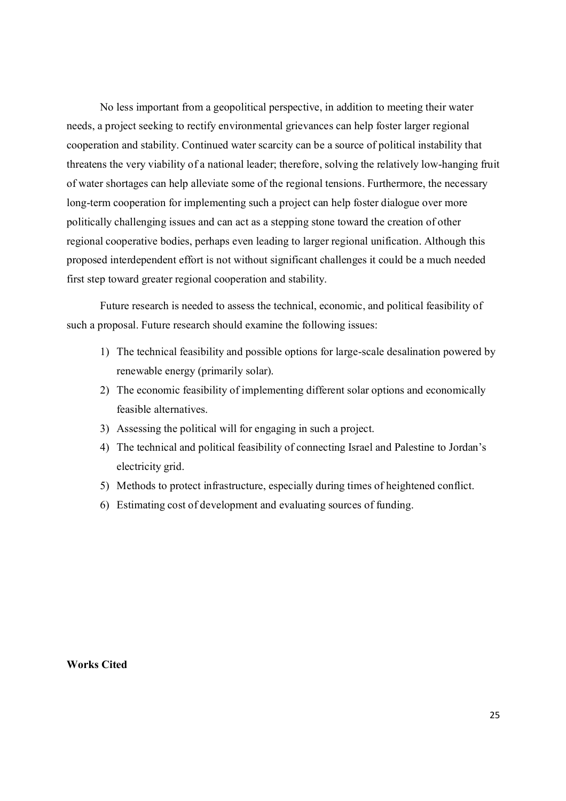No less important from a geopolitical perspective, in addition to meeting their water needs, a project seeking to rectify environmental grievances can help foster larger regional cooperation and stability. Continued water scarcity can be a source of political instability that threatens the very viability of a national leader; therefore, solving the relatively low-hanging fruit of water shortages can help alleviate some of the regional tensions. Furthermore, the necessary long-term cooperation for implementing such a project can help foster dialogue over more politically challenging issues and can act as a stepping stone toward the creation of other regional cooperative bodies, perhaps even leading to larger regional unification. Although this proposed interdependent effort is not without significant challenges it could be a much needed first step toward greater regional cooperation and stability.

Future research is needed to assess the technical, economic, and political feasibility of such a proposal. Future research should examine the following issues:

- 1) The technical feasibility and possible options for large-scale desalination powered by renewable energy (primarily solar).
- 2) The economic feasibility of implementing different solar options and economically feasible alternatives.
- 3) Assessing the political will for engaging in such a project.
- 4) The technical and political feasibility of connecting Israel and Palestine to Jordan's electricity grid.
- 5) Methods to protect infrastructure, especially during times of heightened conflict.
- 6) Estimating cost of development and evaluating sources of funding.

**Works Cited**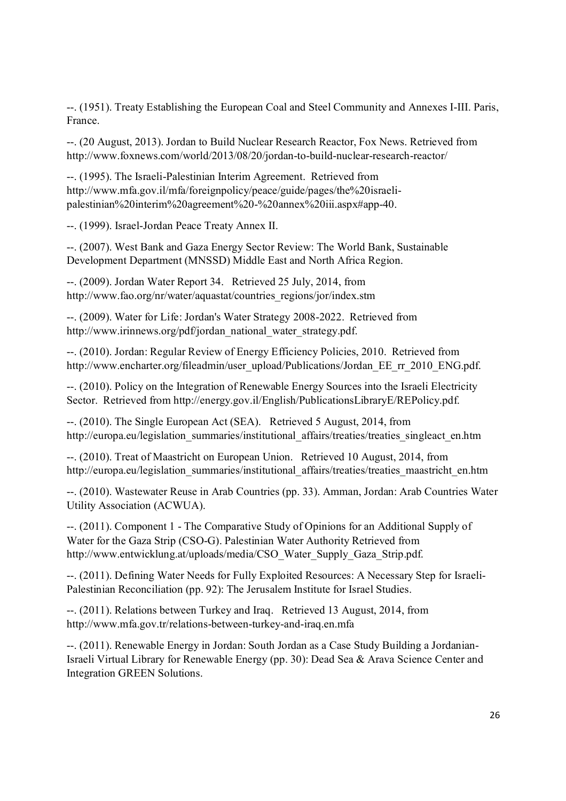--. (1951). Treaty Establishing the European Coal and Steel Community and Annexes I-III. Paris, France.

--. (20 August, 2013). Jordan to Build Nuclear Research Reactor, Fox News. Retrieved from http://www.foxnews.com/world/2013/08/20/jordan-to-build-nuclear-research-reactor/

--. (1995). The Israeli-Palestinian Interim Agreement. Retrieved from http://www.mfa.gov.il/mfa/foreignpolicy/peace/guide/pages/the%20israelipalestinian%20interim%20agreement%20-%20annex%20iii.aspx#app-40.

--. (1999). Israel-Jordan Peace Treaty Annex II.

--. (2007). West Bank and Gaza Energy Sector Review: The World Bank, Sustainable Development Department (MNSSD) Middle East and North Africa Region.

--. (2009). Jordan Water Report 34. Retrieved 25 July, 2014, from http://www.fao.org/nr/water/aquastat/countries\_regions/jor/index.stm

--. (2009). Water for Life: Jordan's Water Strategy 2008-2022. Retrieved from http://www.irinnews.org/pdf/jordan\_national\_water\_strategy.pdf.

--. (2010). Jordan: Regular Review of Energy Efficiency Policies, 2010. Retrieved from http://www.encharter.org/fileadmin/user\_upload/Publications/Jordan\_EE\_rr\_2010\_ENG.pdf.

--. (2010). Policy on the Integration of Renewable Energy Sources into the Israeli Electricity Sector. Retrieved from http://energy.gov.il/English/PublicationsLibraryE/REPolicy.pdf.

--. (2010). The Single European Act (SEA). Retrieved 5 August, 2014, from http://europa.eu/legislation\_summaries/institutional\_affairs/treaties/treaties\_singleact\_en.htm

--. (2010). Treat of Maastricht on European Union. Retrieved 10 August, 2014, from http://europa.eu/legislation\_summaries/institutional\_affairs/treaties/treaties\_maastricht\_en.htm

--. (2010). Wastewater Reuse in Arab Countries (pp. 33). Amman, Jordan: Arab Countries Water Utility Association (ACWUA).

--. (2011). Component 1 - The Comparative Study of Opinions for an Additional Supply of Water for the Gaza Strip (CSO-G). Palestinian Water Authority Retrieved from http://www.entwicklung.at/uploads/media/CSO\_Water\_Supply\_Gaza\_Strip.pdf.

--. (2011). Defining Water Needs for Fully Exploited Resources: A Necessary Step for Israeli-Palestinian Reconciliation (pp. 92): The Jerusalem Institute for Israel Studies.

--. (2011). Relations between Turkey and Iraq. Retrieved 13 August, 2014, from http://www.mfa.gov.tr/relations-between-turkey-and-iraq.en.mfa

--. (2011). Renewable Energy in Jordan: South Jordan as a Case Study Building a Jordanian-Israeli Virtual Library for Renewable Energy (pp. 30): Dead Sea & Arava Science Center and Integration GREEN Solutions.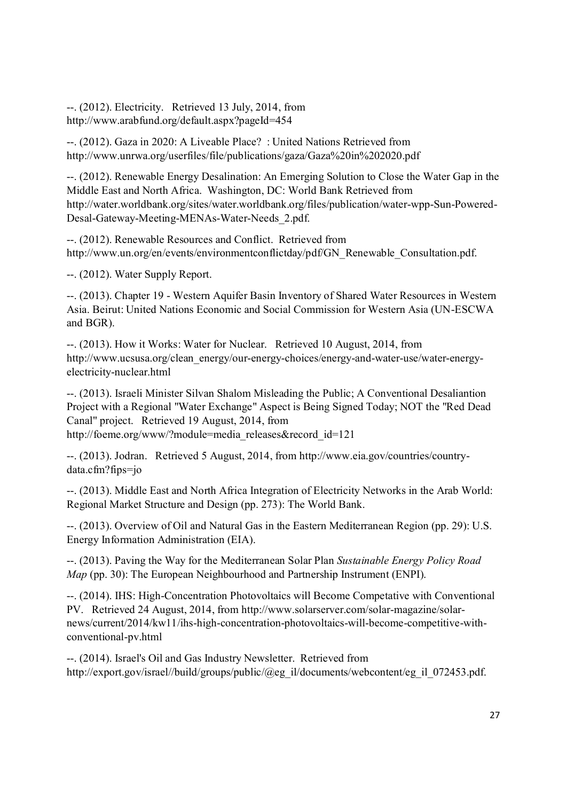--. (2012). Electricity. Retrieved 13 July, 2014, from http://www.arabfund.org/default.aspx?pageId=454

--. (2012). Gaza in 2020: A Liveable Place? : United Nations Retrieved from http://www.unrwa.org/userfiles/file/publications/gaza/Gaza%20in%202020.pdf

--. (2012). Renewable Energy Desalination: An Emerging Solution to Close the Water Gap in the Middle East and North Africa. Washington, DC: World Bank Retrieved from http://water.worldbank.org/sites/water.worldbank.org/files/publication/water-wpp-Sun-Powered-Desal-Gateway-Meeting-MENAs-Water-Needs\_2.pdf.

--. (2012). Renewable Resources and Conflict. Retrieved from http://www.un.org/en/events/environmentconflictday/pdf/GN\_Renewable\_Consultation.pdf.

--. (2012). Water Supply Report.

--. (2013). Chapter 19 - Western Aquifer Basin Inventory of Shared Water Resources in Western Asia. Beirut: United Nations Economic and Social Commission for Western Asia (UN-ESCWA and BGR).

--. (2013). How it Works: Water for Nuclear. Retrieved 10 August, 2014, from http://www.ucsusa.org/clean\_energy/our-energy-choices/energy-and-water-use/water-energyelectricity-nuclear.html

--. (2013). Israeli Minister Silvan Shalom Misleading the Public; A Conventional Desaliantion Project with a Regional "Water Exchange" Aspect is Being Signed Today; NOT the "Red Dead Canal" project. Retrieved 19 August, 2014, from http://foeme.org/www/?module=media\_releases&record\_id=121

--. (2013). Jodran. Retrieved 5 August, 2014, from http://www.eia.gov/countries/countrydata.cfm?fips=jo

--. (2013). Middle East and North Africa Integration of Electricity Networks in the Arab World: Regional Market Structure and Design (pp. 273): The World Bank.

--. (2013). Overview of Oil and Natural Gas in the Eastern Mediterranean Region (pp. 29): U.S. Energy Information Administration (EIA).

--. (2013). Paving the Way for the Mediterranean Solar Plan *Sustainable Energy Policy Road Map* (pp. 30): The European Neighbourhood and Partnership Instrument (ENPI).

--. (2014). IHS: High-Concentration Photovoltaics will Become Competative with Conventional PV. Retrieved 24 August, 2014, from http://www.solarserver.com/solar-magazine/solarnews/current/2014/kw11/ihs-high-concentration-photovoltaics-will-become-competitive-withconventional-pv.html

--. (2014). Israel's Oil and Gas Industry Newsletter. Retrieved from http://export.gov/israel//build/groups/public/@eg\_il/documents/webcontent/eg\_il\_072453.pdf.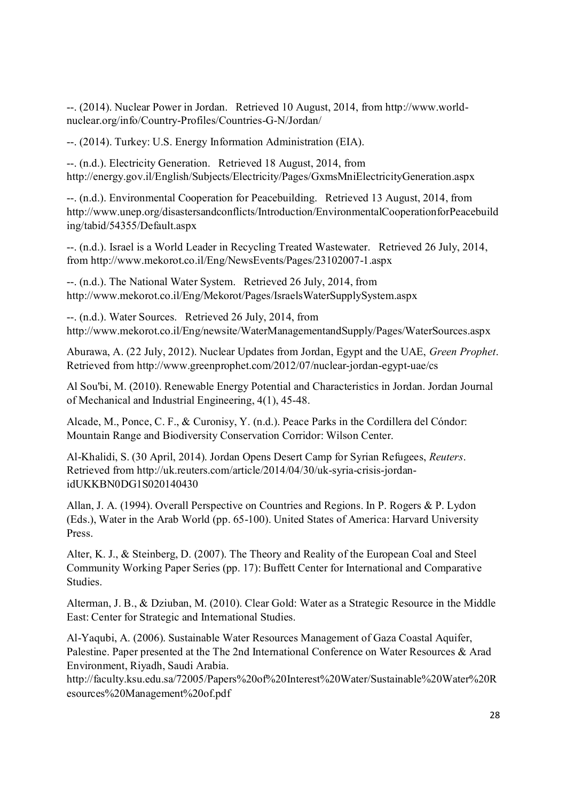--. (2014). Nuclear Power in Jordan. Retrieved 10 August, 2014, from http://www.worldnuclear.org/info/Country-Profiles/Countries-G-N/Jordan/

--. (2014). Turkey: U.S. Energy Information Administration (EIA).

--. (n.d.). Electricity Generation. Retrieved 18 August, 2014, from http://energy.gov.il/English/Subjects/Electricity/Pages/GxmsMniElectricityGeneration.aspx

--. (n.d.). Environmental Cooperation for Peacebuilding. Retrieved 13 August, 2014, from http://www.unep.org/disastersandconflicts/Introduction/EnvironmentalCooperationforPeacebuild ing/tabid/54355/Default.aspx

--. (n.d.). Israel is a World Leader in Recycling Treated Wastewater. Retrieved 26 July, 2014, from http://www.mekorot.co.il/Eng/NewsEvents/Pages/23102007-1.aspx

--. (n.d.). The National Water System. Retrieved 26 July, 2014, from http://www.mekorot.co.il/Eng/Mekorot/Pages/IsraelsWaterSupplySystem.aspx

--. (n.d.). Water Sources. Retrieved 26 July, 2014, from http://www.mekorot.co.il/Eng/newsite/WaterManagementandSupply/Pages/WaterSources.aspx

Aburawa, A. (22 July, 2012). Nuclear Updates from Jordan, Egypt and the UAE, *Green Prophet*. Retrieved from http://www.greenprophet.com/2012/07/nuclear-jordan-egypt-uae/cs

Al Sou'bi, M. (2010). Renewable Energy Potential and Characteristics in Jordan. Jordan Journal of Mechanical and Industrial Engineering, 4(1), 45-48.

Alcade, M., Ponce, C. F., & Curonisy, Y. (n.d.). Peace Parks in the Cordillera del Cóndor: Mountain Range and Biodiversity Conservation Corridor: Wilson Center.

Al-Khalidi, S. (30 April, 2014). Jordan Opens Desert Camp for Syrian Refugees, *Reuters*. Retrieved from http://uk.reuters.com/article/2014/04/30/uk-syria-crisis-jordanidUKKBN0DG1S020140430

Allan, J. A. (1994). Overall Perspective on Countries and Regions. In P. Rogers & P. Lydon (Eds.), Water in the Arab World (pp. 65-100). United States of America: Harvard University Press.

Alter, K. J., & Steinberg, D. (2007). The Theory and Reality of the European Coal and Steel Community Working Paper Series (pp. 17): Buffett Center for International and Comparative Studies.

Alterman, J. B., & Dziuban, M. (2010). Clear Gold: Water as a Strategic Resource in the Middle East: Center for Strategic and International Studies.

Al-Yaqubi, A. (2006). Sustainable Water Resources Management of Gaza Coastal Aquifer, Palestine. Paper presented at the The 2nd International Conference on Water Resources & Arad Environment, Riyadh, Saudi Arabia.

http://faculty.ksu.edu.sa/72005/Papers%20of%20Interest%20Water/Sustainable%20Water%20R esources%20Management%20of.pdf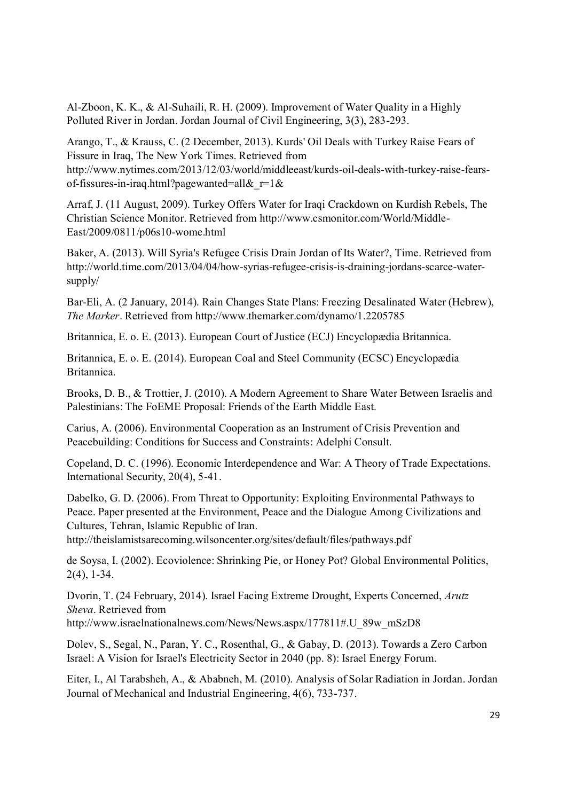Al-Zboon, K. K., & Al-Suhaili, R. H. (2009). Improvement of Water Quality in a Highly Polluted River in Jordan. Jordan Journal of Civil Engineering, 3(3), 283-293.

Arango, T., & Krauss, C. (2 December, 2013). Kurds' Oil Deals with Turkey Raise Fears of Fissure in Iraq, The New York Times. Retrieved from http://www.nytimes.com/2013/12/03/world/middleeast/kurds-oil-deals-with-turkey-raise-fearsof-fissures-in-iraq.html?pagewanted=all& $r=1$ &

Arraf, J. (11 August, 2009). Turkey Offers Water for Iraqi Crackdown on Kurdish Rebels, The Christian Science Monitor. Retrieved from http://www.csmonitor.com/World/Middle-East/2009/0811/p06s10-wome.html

Baker, A. (2013). Will Syria's Refugee Crisis Drain Jordan of Its Water?, Time. Retrieved from http://world.time.com/2013/04/04/how-syrias-refugee-crisis-is-draining-jordans-scarce-watersupply/

Bar-Eli, A. (2 January, 2014). Rain Changes State Plans: Freezing Desalinated Water (Hebrew), *The Marker*. Retrieved from http://www.themarker.com/dynamo/1.2205785

Britannica, E. o. E. (2013). European Court of Justice (ECJ) Encyclopædia Britannica.

Britannica, E. o. E. (2014). European Coal and Steel Community (ECSC) Encyclopædia Britannica.

Brooks, D. B., & Trottier, J. (2010). A Modern Agreement to Share Water Between Israelis and Palestinians: The FoEME Proposal: Friends of the Earth Middle East.

Carius, A. (2006). Environmental Cooperation as an Instrument of Crisis Prevention and Peacebuilding: Conditions for Success and Constraints: Adelphi Consult.

Copeland, D. C. (1996). Economic Interdependence and War: A Theory of Trade Expectations. International Security, 20(4), 5-41.

Dabelko, G. D. (2006). From Threat to Opportunity: Exploiting Environmental Pathways to Peace. Paper presented at the Environment, Peace and the Dialogue Among Civilizations and Cultures, Tehran, Islamic Republic of Iran.

http://theislamistsarecoming.wilsoncenter.org/sites/default/files/pathways.pdf

de Soysa, I. (2002). Ecoviolence: Shrinking Pie, or Honey Pot? Global Environmental Politics, 2(4), 1-34.

Dvorin, T. (24 February, 2014). Israel Facing Extreme Drought, Experts Concerned, *Arutz Sheva*. Retrieved from

http://www.israelnationalnews.com/News/News.aspx/177811#.U\_89w\_mSzD8

Dolev, S., Segal, N., Paran, Y. C., Rosenthal, G., & Gabay, D. (2013). Towards a Zero Carbon Israel: A Vision for Israel's Electricity Sector in 2040 (pp. 8): Israel Energy Forum.

Eiter, I., Al Tarabsheh, A., & Ababneh, M. (2010). Analysis of Solar Radiation in Jordan. Jordan Journal of Mechanical and Industrial Engineering, 4(6), 733-737.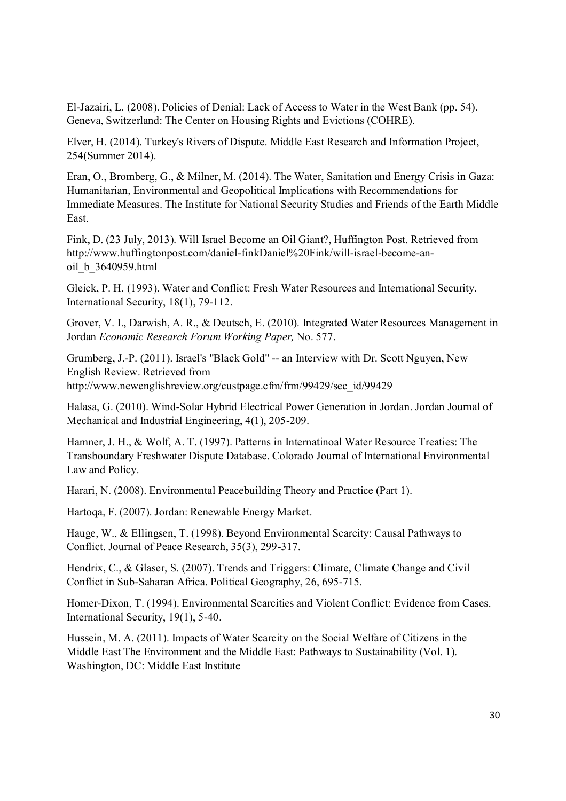El-Jazairi, L. (2008). Policies of Denial: Lack of Access to Water in the West Bank (pp. 54). Geneva, Switzerland: The Center on Housing Rights and Evictions (COHRE).

Elver, H. (2014). Turkey's Rivers of Dispute. Middle East Research and Information Project, 254(Summer 2014).

Eran, O., Bromberg, G., & Milner, M. (2014). The Water, Sanitation and Energy Crisis in Gaza: Humanitarian, Environmental and Geopolitical Implications with Recommendations for Immediate Measures. The Institute for National Security Studies and Friends of the Earth Middle East.

Fink, D. (23 July, 2013). Will Israel Become an Oil Giant?, Huffington Post. Retrieved from http://www.huffingtonpost.com/daniel-finkDaniel%20Fink/will-israel-become-anoil\_b\_3640959.html

Gleick, P. H. (1993). Water and Conflict: Fresh Water Resources and International Security. International Security, 18(1), 79-112.

Grover, V. I., Darwish, A. R., & Deutsch, E. (2010). Integrated Water Resources Management in Jordan *Economic Research Forum Working Paper,* No. 577.

Grumberg, J.-P. (2011). Israel's "Black Gold" -- an Interview with Dr. Scott Nguyen, New English Review. Retrieved from http://www.newenglishreview.org/custpage.cfm/frm/99429/sec\_id/99429

Halasa, G. (2010). Wind-Solar Hybrid Electrical Power Generation in Jordan. Jordan Journal of Mechanical and Industrial Engineering, 4(1), 205-209.

Hamner, J. H., & Wolf, A. T. (1997). Patterns in Internatinoal Water Resource Treaties: The Transboundary Freshwater Dispute Database. Colorado Journal of International Environmental Law and Policy.

Harari, N. (2008). Environmental Peacebuilding Theory and Practice (Part 1).

Hartoqa, F. (2007). Jordan: Renewable Energy Market.

Hauge, W., & Ellingsen, T. (1998). Beyond Environmental Scarcity: Causal Pathways to Conflict. Journal of Peace Research, 35(3), 299-317.

Hendrix, C., & Glaser, S. (2007). Trends and Triggers: Climate, Climate Change and Civil Conflict in Sub-Saharan Africa. Political Geography, 26, 695-715.

Homer-Dixon, T. (1994). Environmental Scarcities and Violent Conflict: Evidence from Cases. International Security, 19(1), 5-40.

Hussein, M. A. (2011). Impacts of Water Scarcity on the Social Welfare of Citizens in the Middle East The Environment and the Middle East: Pathways to Sustainability (Vol. 1). Washington, DC: Middle East Institute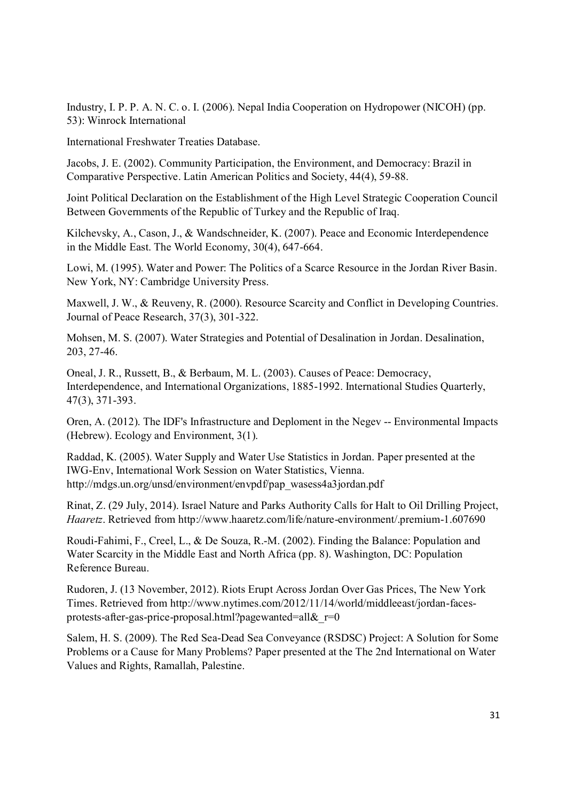Industry, I. P. P. A. N. C. o. I. (2006). Nepal India Cooperation on Hydropower (NICOH) (pp. 53): Winrock International

International Freshwater Treaties Database.

Jacobs, J. E. (2002). Community Participation, the Environment, and Democracy: Brazil in Comparative Perspective. Latin American Politics and Society, 44(4), 59-88.

Joint Political Declaration on the Establishment of the High Level Strategic Cooperation Council Between Governments of the Republic of Turkey and the Republic of Iraq.

Kilchevsky, A., Cason, J., & Wandschneider, K. (2007). Peace and Economic Interdependence in the Middle East. The World Economy, 30(4), 647-664.

Lowi, M. (1995). Water and Power: The Politics of a Scarce Resource in the Jordan River Basin. New York, NY: Cambridge University Press.

Maxwell, J. W., & Reuveny, R. (2000). Resource Scarcity and Conflict in Developing Countries. Journal of Peace Research, 37(3), 301-322.

Mohsen, M. S. (2007). Water Strategies and Potential of Desalination in Jordan. Desalination, 203, 27-46.

Oneal, J. R., Russett, B., & Berbaum, M. L. (2003). Causes of Peace: Democracy, Interdependence, and International Organizations, 1885-1992. International Studies Quarterly, 47(3), 371-393.

Oren, A. (2012). The IDF's Infrastructure and Deploment in the Negev -- Environmental Impacts (Hebrew). Ecology and Environment, 3(1).

Raddad, K. (2005). Water Supply and Water Use Statistics in Jordan. Paper presented at the IWG-Env, International Work Session on Water Statistics, Vienna. http://mdgs.un.org/unsd/environment/envpdf/pap\_wasess4a3jordan.pdf

Rinat, Z. (29 July, 2014). Israel Nature and Parks Authority Calls for Halt to Oil Drilling Project, *Haaretz*. Retrieved from http://www.haaretz.com/life/nature-environment/.premium-1.607690

Roudi-Fahimi, F., Creel, L., & De Souza, R.-M. (2002). Finding the Balance: Population and Water Scarcity in the Middle East and North Africa (pp. 8). Washington, DC: Population Reference Bureau.

Rudoren, J. (13 November, 2012). Riots Erupt Across Jordan Over Gas Prices, The New York Times. Retrieved from http://www.nytimes.com/2012/11/14/world/middleeast/jordan-facesprotests-after-gas-price-proposal.html?pagewanted=all& $r=0$ 

Salem, H. S. (2009). The Red Sea-Dead Sea Conveyance (RSDSC) Project: A Solution for Some Problems or a Cause for Many Problems? Paper presented at the The 2nd International on Water Values and Rights, Ramallah, Palestine.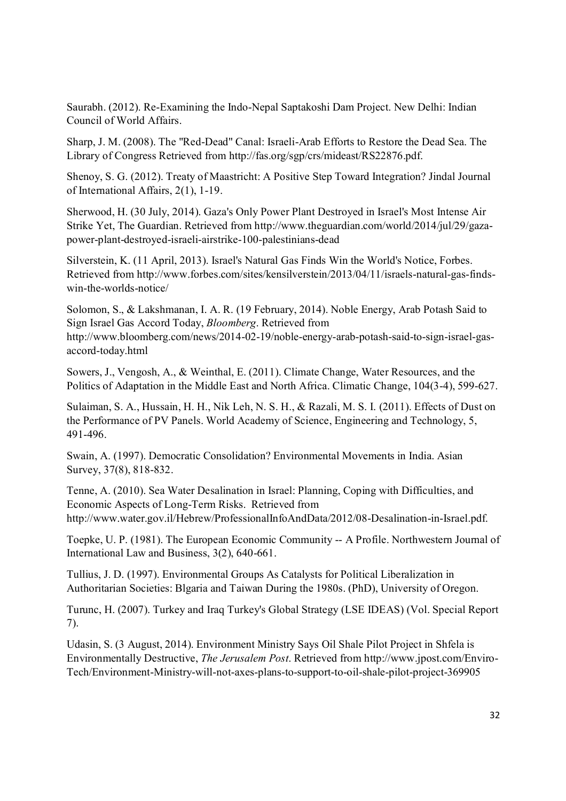Saurabh. (2012). Re-Examining the Indo-Nepal Saptakoshi Dam Project. New Delhi: Indian Council of World Affairs.

Sharp, J. M. (2008). The "Red-Dead" Canal: Israeli-Arab Efforts to Restore the Dead Sea. The Library of Congress Retrieved from http://fas.org/sgp/crs/mideast/RS22876.pdf.

Shenoy, S. G. (2012). Treaty of Maastricht: A Positive Step Toward Integration? Jindal Journal of International Affairs, 2(1), 1-19.

Sherwood, H. (30 July, 2014). Gaza's Only Power Plant Destroyed in Israel's Most Intense Air Strike Yet, The Guardian. Retrieved from http://www.theguardian.com/world/2014/jul/29/gazapower-plant-destroyed-israeli-airstrike-100-palestinians-dead

Silverstein, K. (11 April, 2013). Israel's Natural Gas Finds Win the World's Notice, Forbes. Retrieved from http://www.forbes.com/sites/kensilverstein/2013/04/11/israels-natural-gas-findswin-the-worlds-notice/

Solomon, S., & Lakshmanan, I. A. R. (19 February, 2014). Noble Energy, Arab Potash Said to Sign Israel Gas Accord Today, *Bloomberg*. Retrieved from http://www.bloomberg.com/news/2014-02-19/noble-energy-arab-potash-said-to-sign-israel-gasaccord-today.html

Sowers, J., Vengosh, A., & Weinthal, E. (2011). Climate Change, Water Resources, and the Politics of Adaptation in the Middle East and North Africa. Climatic Change, 104(3-4), 599-627.

Sulaiman, S. A., Hussain, H. H., Nik Leh, N. S. H., & Razali, M. S. I. (2011). Effects of Dust on the Performance of PV Panels. World Academy of Science, Engineering and Technology, 5, 491-496.

Swain, A. (1997). Democratic Consolidation? Environmental Movements in India. Asian Survey, 37(8), 818-832.

Tenne, A. (2010). Sea Water Desalination in Israel: Planning, Coping with Difficulties, and Economic Aspects of Long-Term Risks. Retrieved from http://www.water.gov.il/Hebrew/ProfessionalInfoAndData/2012/08-Desalination-in-Israel.pdf.

Toepke, U. P. (1981). The European Economic Community -- A Profile. Northwestern Journal of International Law and Business, 3(2), 640-661.

Tullius, J. D. (1997). Environmental Groups As Catalysts for Political Liberalization in Authoritarian Societies: Blgaria and Taiwan During the 1980s. (PhD), University of Oregon.

Turunc, H. (2007). Turkey and Iraq Turkey's Global Strategy (LSE IDEAS) (Vol. Special Report 7).

Udasin, S. (3 August, 2014). Environment Ministry Says Oil Shale Pilot Project in Shfela is Environmentally Destructive, *The Jerusalem Post*. Retrieved from http://www.jpost.com/Enviro-Tech/Environment-Ministry-will-not-axes-plans-to-support-to-oil-shale-pilot-project-369905